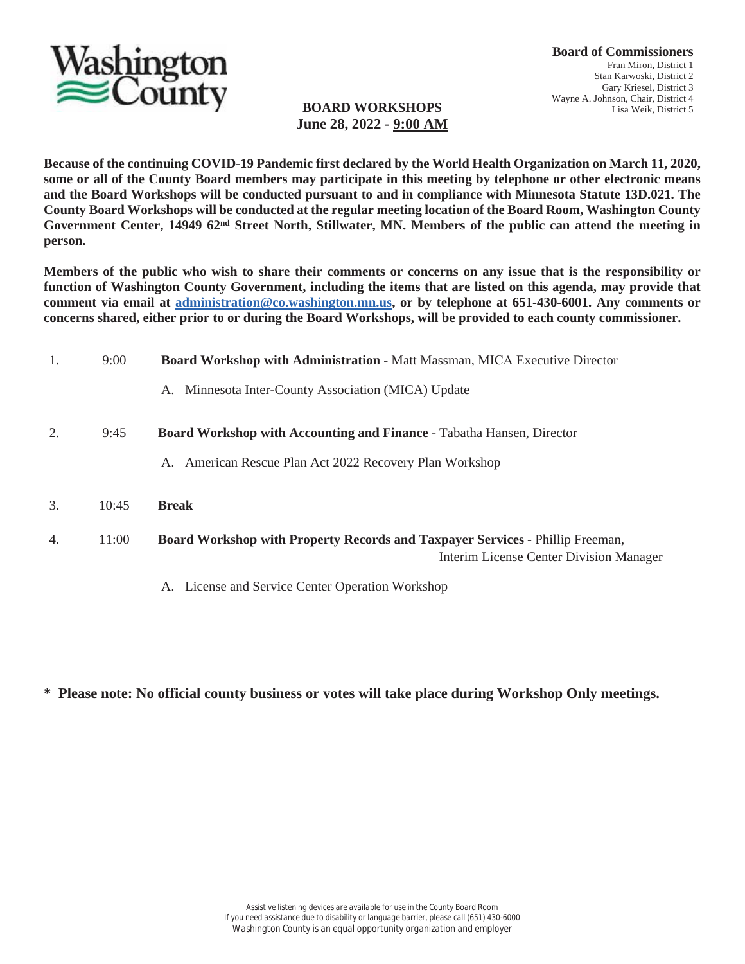

#### **BOARD WORKSHOPS June 28, 2022 - 9:00 AM**

**Because of the continuing COVID-19 Pandemic first declared by the World Health Organization on March 11, 2020, some or all of the County Board members may participate in this meeting by telephone or other electronic means and the Board Workshops will be conducted pursuant to and in compliance with Minnesota Statute 13D.021. The County Board Workshops will be conducted at the regular meeting location of the Board Room, Washington County Government Center, 14949 62nd Street North, Stillwater, MN. Members of the public can attend the meeting in person.**

**Members of the public who wish to share their comments or concerns on any issue that is the responsibility or function of Washington County Government, including the items that are listed on this agenda, may provide that comment via email at administration@co.washington.mn.us, or by telephone at 651-430-6001. Any comments or concerns shared, either prior to or during the Board Workshops, will be provided to each county commissioner.**

| 1. | 9:00  | <b>Board Workshop with Administration - Matt Massman, MICA Executive Director</b>                                        |
|----|-------|--------------------------------------------------------------------------------------------------------------------------|
|    |       | Minnesota Inter-County Association (MICA) Update<br>А.                                                                   |
| 2. | 9:45  | <b>Board Workshop with Accounting and Finance - Tabatha Hansen, Director</b>                                             |
|    |       | American Rescue Plan Act 2022 Recovery Plan Workshop<br>A.                                                               |
| 3. | 10:45 | <b>Break</b>                                                                                                             |
| 4. | 11:00 | Board Workshop with Property Records and Taxpayer Services - Phillip Freeman,<br>Interim License Center Division Manager |
|    |       | A. License and Service Center Operation Workshop                                                                         |

**\* Please note: No official county business or votes will take place during Workshop Only meetings.**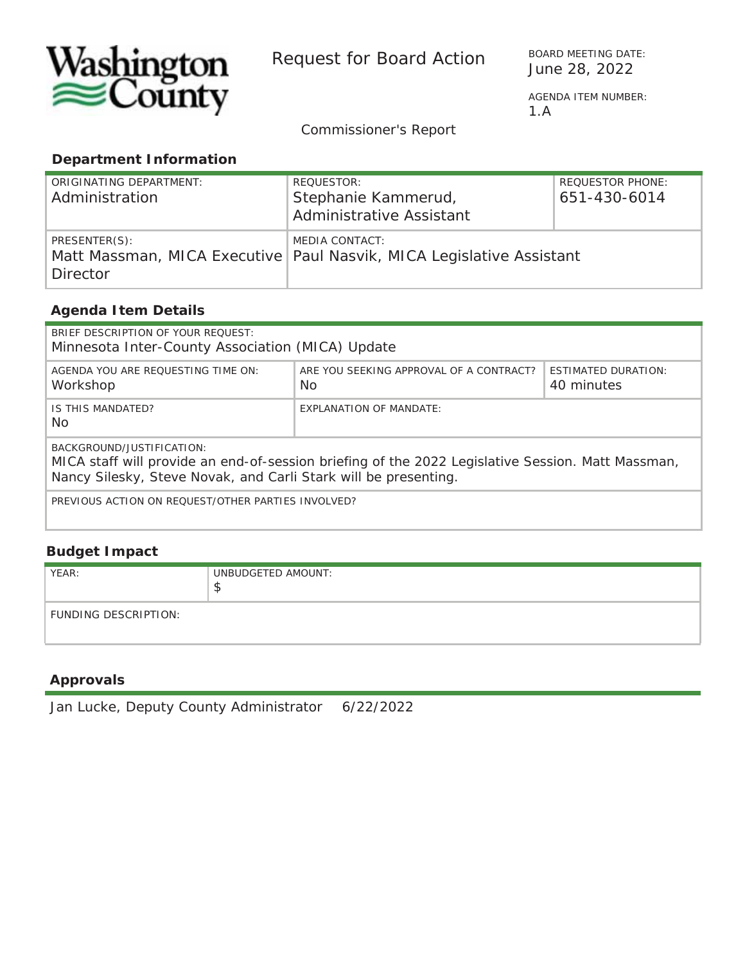

Request for Board Action<br>June 28, 2022

BOARD MEETING DATE:

1.A

*Commissioner's Report*

#### **Department Information**

| ORIGINATING DEPARTMENT:<br>Administration | REQUESTOR:<br>Stephanie Kammerud,<br><b>Administrative Assistant</b>                     | <b>REQUESTOR PHONE:</b><br>651-430-6014 |
|-------------------------------------------|------------------------------------------------------------------------------------------|-----------------------------------------|
| PRESENTER(S):<br>Director                 | MEDIA CONTACT:<br>Matt Massman, MICA Executive   Paul Nasvik, MICA Legislative Assistant |                                         |

#### **Agenda Item Details**

| BRIEF DESCRIPTION OF YOUR REQUEST:<br>Minnesota Inter-County Association (MICA) Update                                                                                                            |                                                |                                          |  |  |  |
|---------------------------------------------------------------------------------------------------------------------------------------------------------------------------------------------------|------------------------------------------------|------------------------------------------|--|--|--|
| AGENDA YOU ARE REOUESTING TIME ON:<br>Workshop                                                                                                                                                    | ARE YOU SEEKING APPROVAL OF A CONTRACT?<br>No. | <b>ESTIMATED DURATION:</b><br>40 minutes |  |  |  |
| IS THIS MANDATED?<br>No.                                                                                                                                                                          | EXPLANATION OF MANDATE:                        |                                          |  |  |  |
| BACKGROUND/JUSTIFICATION:<br>MICA staff will provide an end-of-session briefing of the 2022 Legislative Session. Matt Massman,<br>Nancy Silesky, Steve Novak, and Carli Stark will be presenting. |                                                |                                          |  |  |  |
| PREVIOUS ACTION ON REOUEST/OTHER PARTIES INVOLVED?                                                                                                                                                |                                                |                                          |  |  |  |

#### **Budget Impact**

| YEAR:                | UNBUDGETED AMOUNT:<br>- 14 |
|----------------------|----------------------------|
| FUNDING DESCRIPTION: |                            |

#### **Approvals**

Jan Lucke, Deputy County Administrator 6/22/2022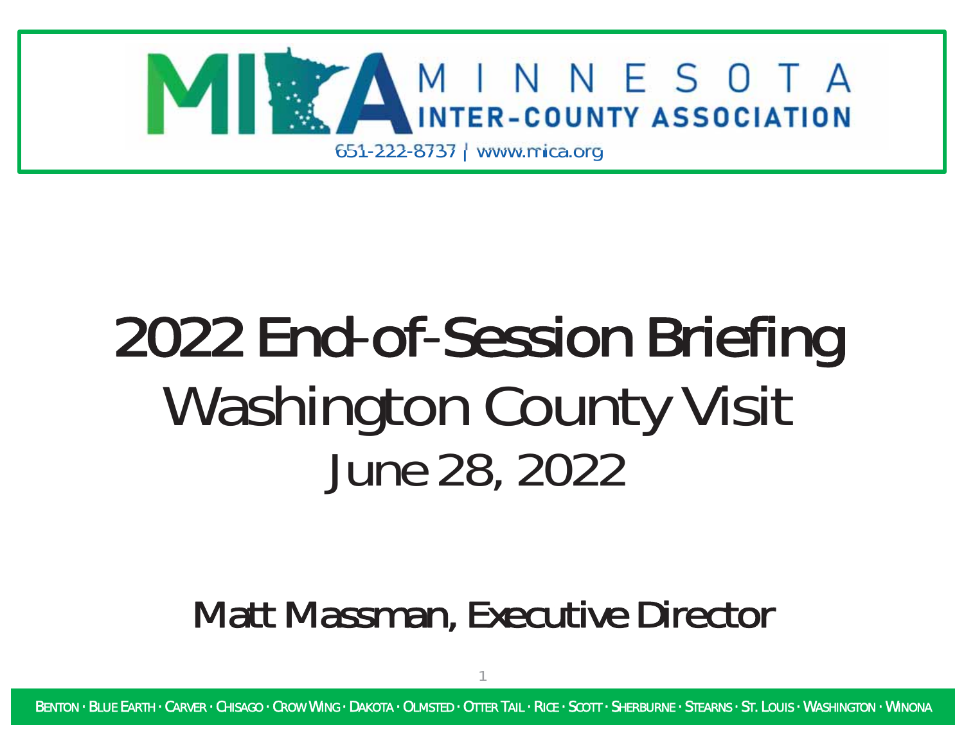

# 2022 End-of-Session Briefing Washington County Visit *June 28, 2022*

### Matt Massman, Executive Director

1

BENTON · BLUE EARTH · CARVER · CHISAGO · CROW WING · DAKOTA · OLMSTED · OTTER TAIL · RICE · SCOTT · SHERBURNE · STEARNS · ST. LOUIS · WASHINGTON · WINONA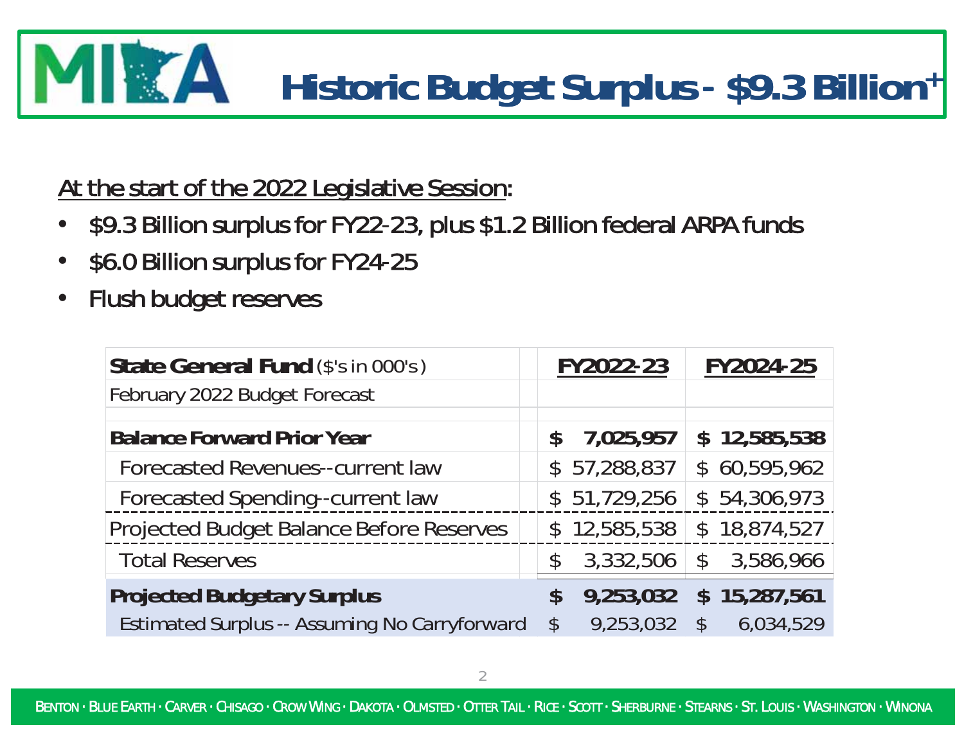### IITA **Historic Budget Surplus<sup>Ͳ</sup> \$9.3 Billion <sup>+</sup> Billion+**

At the start of the 2022 Legislative Session:

- $\bullet$ \$9.3 Billion surplus for FY22-23, plus \$1.2 Billion federal ARPA funds
- $\bullet$ \$6.0 Billion surplus for FY24-25
- •Flush budget reserves

| State General Fund (\$'s in 000's)                   |               | FY2022-23    |               | FY2024-25    |
|------------------------------------------------------|---------------|--------------|---------------|--------------|
| February 2022 Budget Forecast                        |               |              |               |              |
| <b>Balance Forward Prior Year</b>                    | $\mathbf S$   | 7,025,957    |               | \$12,585,538 |
| Forecasted Revenues--current law                     |               | \$57,288,837 |               | \$60,595,962 |
| Forecasted Spending--current law                     | $\mathcal{S}$ | 51,729,256   |               | \$54,306,973 |
| Projected Budget Balance Before Reserves             | $\mathcal{S}$ | 12,585,538   |               | \$18,874,527 |
| <b>Total Reserves</b>                                | $\mathcal{S}$ | 3,332,506    | $\mathbb{S}$  | 3,586,966    |
| <b>Projected Budgetary Surplus</b>                   | $\mathbb{S}$  | 9,253,032    |               | \$15,287,561 |
| <b>Estimated Surplus -- Assuming No Carryforward</b> | $\mathcal{S}$ | 9,253,032    | $\mathcal{S}$ | 6,034,529    |

BENTON · BLUE EARTH · CARVER · CHISAGO · CROW WING · DAKOTA · OLMSTED · OTTER TAIL · RICE · SCOTT · SHERBURNE · STEARNS · ST. LOUIS · WASHINGTON · WINONA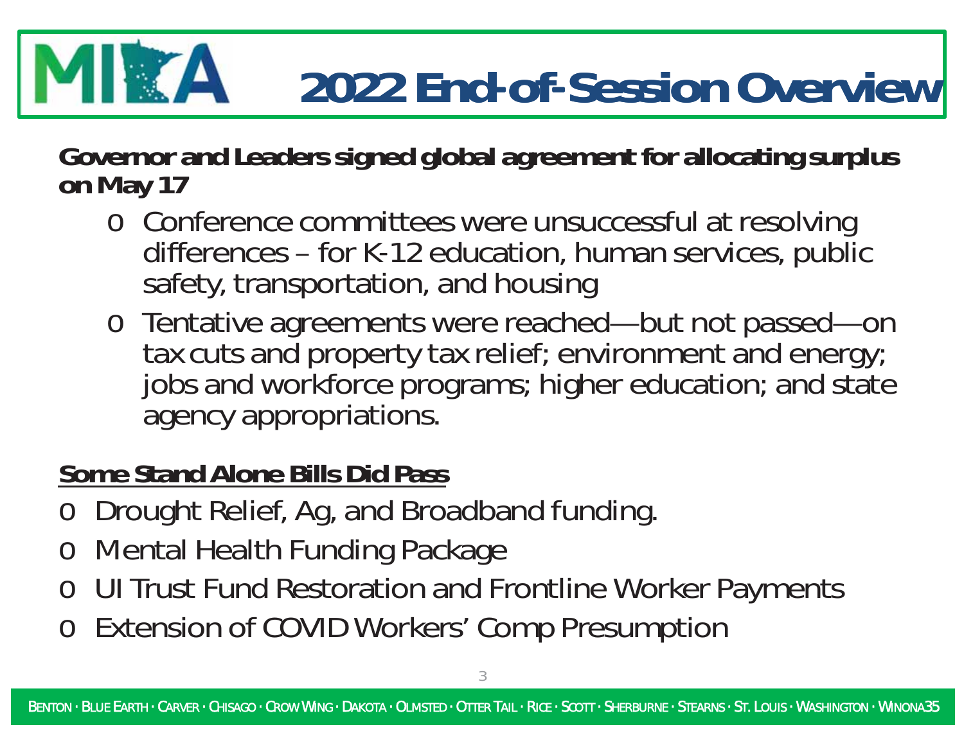### **EXAMPLE 2022 EndͲofͲSession Overview**

**Governor and Leaders signed global agreement for allocating surplus on May 17**

- o Conference committees were unsuccessful at resolving differences – for K-12 education, human services, public safety, transportation, and housing
- o Tentative agreements were reached—but not passed—on tax cuts and property tax relief; environment and energy; jobs and workforce programs; higher education; and state agency appropriations.

### **Some Stand Alone Bills Did Pass**

- oDrought Relief, Ag, and Broadband funding.
- oMental Health Funding Package
- oUI Trust Fund Restoration and Frontline Worker Payments
- o Extension of COVID Workers' Comp Presumption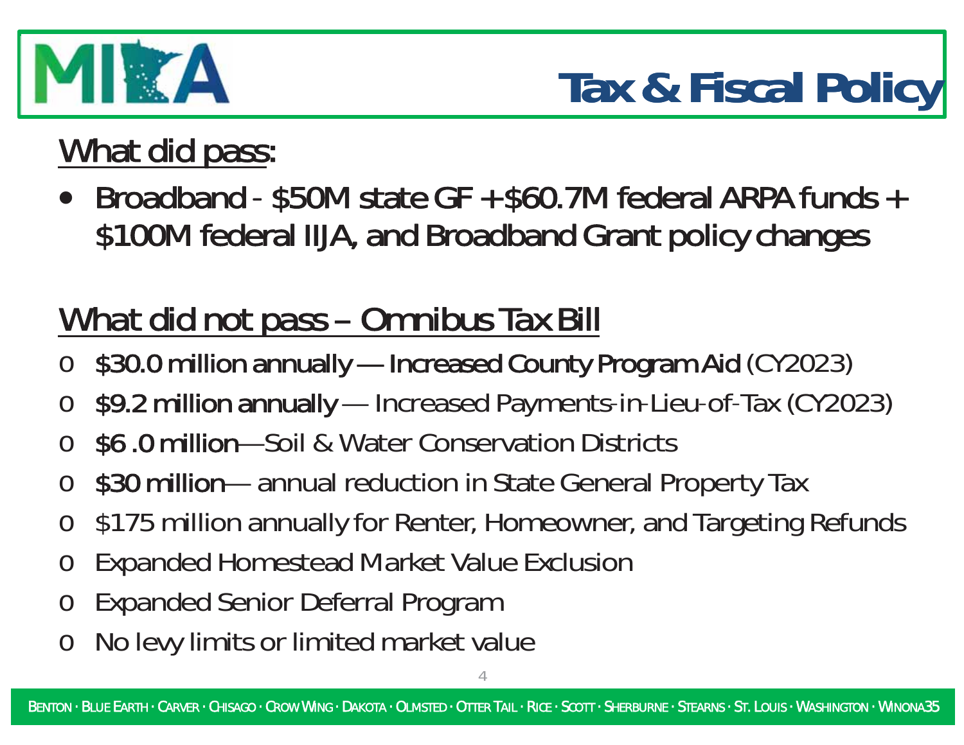

# **Tax & Fiscal Policy**

# What did pass:

• Broadband - \$50M state GF + \$60.7M federal ARPA funds + \$100M federal IIJA, and Broadband Grant policy changes

# *Whatdidnotpass– OmnibusTaxBill*

- o\$30.0 million annually — Increased County Program Aid (CY2023)
- o\$9.2 million annually — Increased Payments-in-Lieu-of-Tax (CY2023)
- o\$6.0million—Soil & Water Conservation Districts
- o\$30 million— annual reduction in State General Property Tax
- o\$175 million annually for Renter, Homeowner, and Targeting Refunds
- $\Omega$ Expanded Homestead Market Value Exclusion
- oExpanded Senior Deferral Program
- oNo levy limits or limited market value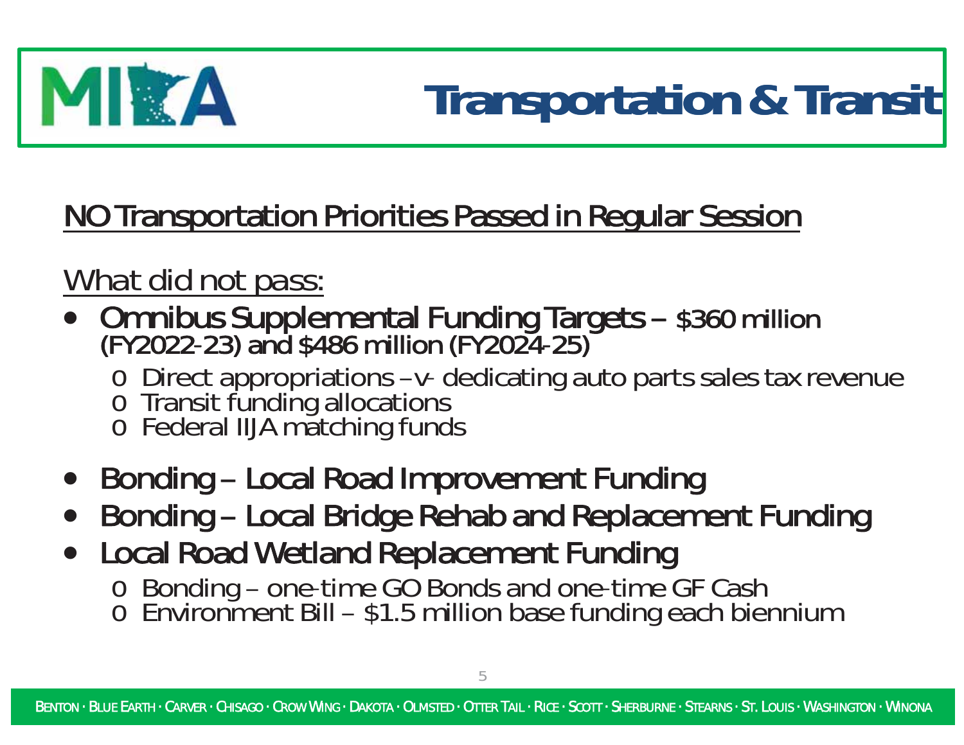

### NO Transportation Priorities Passed in Regular Session

### *What did not pass:*

- Omnibus Supplemental Funding Targets \$360 million<br>(FY2022-23) and \$486 million (FY2024-25)
	- o Direct appropriations –ν- dedicating auto parts sales tax revenue
	- o Transit funding allocations
	- o Federal IIJA matching funds
- Bonding Local Road Improvement Funding
- $\bullet$ Bonding – Local Bridge Rehab and Replacement Funding
- Local Road Wetland Replacement Funding o Bonding – one-time GO Bonds and one-time GF Cash o Environment Bill – \$1.5 million base funding each biennium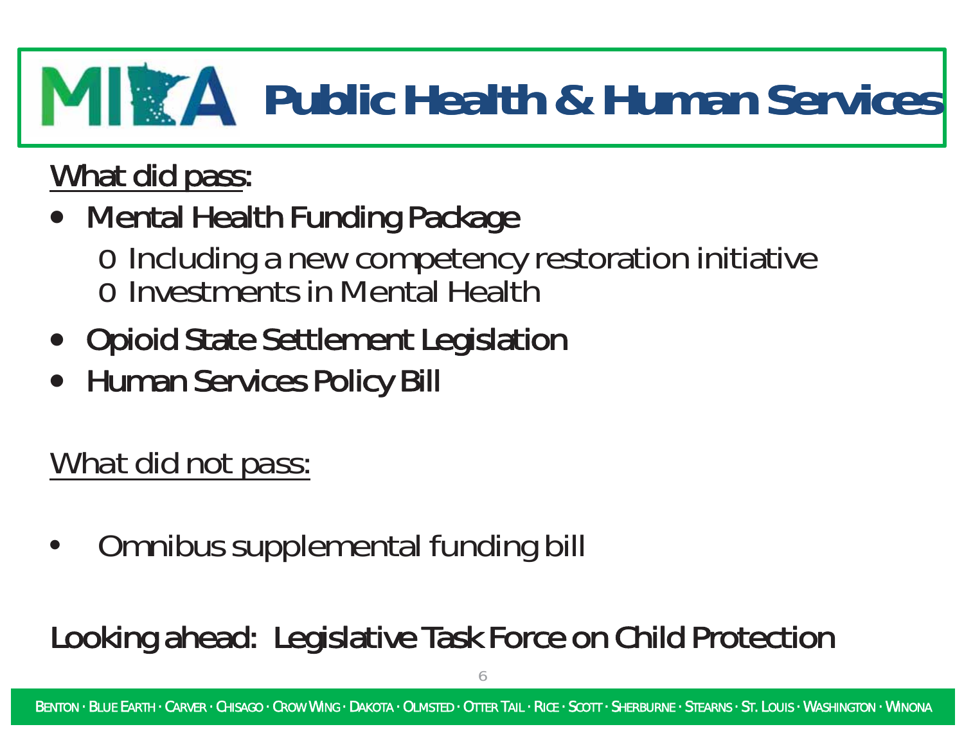# **Public Health & Human Services**

## What did pass:

- Mental Health Funding Package
	- o Including <sup>a</sup> new competency restoration initiative o Investments in Mental Health
- $\bullet$ **Opioid State Settlement Legislation**
- $\bullet$ **Human Services Policy Bill**

*What did not pass:*

•Omnibus supplemental funding bill

## Looking ahead: Legislative Task Force on Child Protection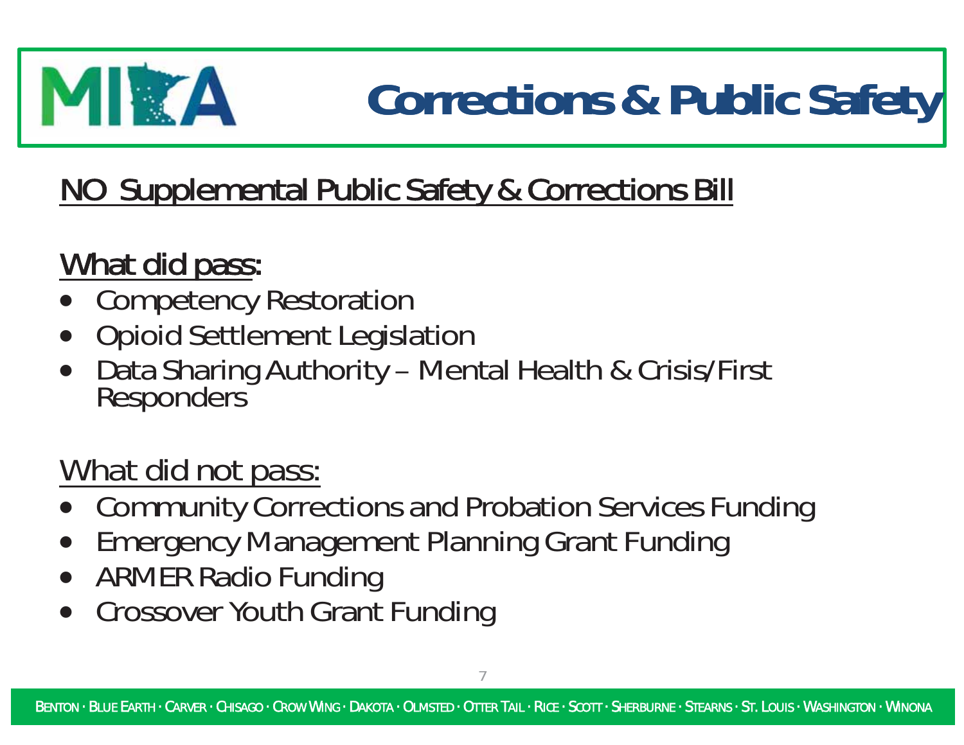# MITA

# **Corrections & Public Safety**

## NO Supplemental Public Safety & Corrections Bill

### What did pass:

- $\bullet$ Competency Restoration
- $\bullet$ Opioid Settlement Legislation
- $\bullet$ Data Sharing Authority – Mental Health & Crisis/First Responders

### *What did not pass:*

- $\bullet$ Community Corrections and Probation Services Funding
- $\bullet$ Emergency Management Planning Grant Funding
- $\bullet$ ARMER Radio Funding
- $\bullet$ Crossover Youth Grant Funding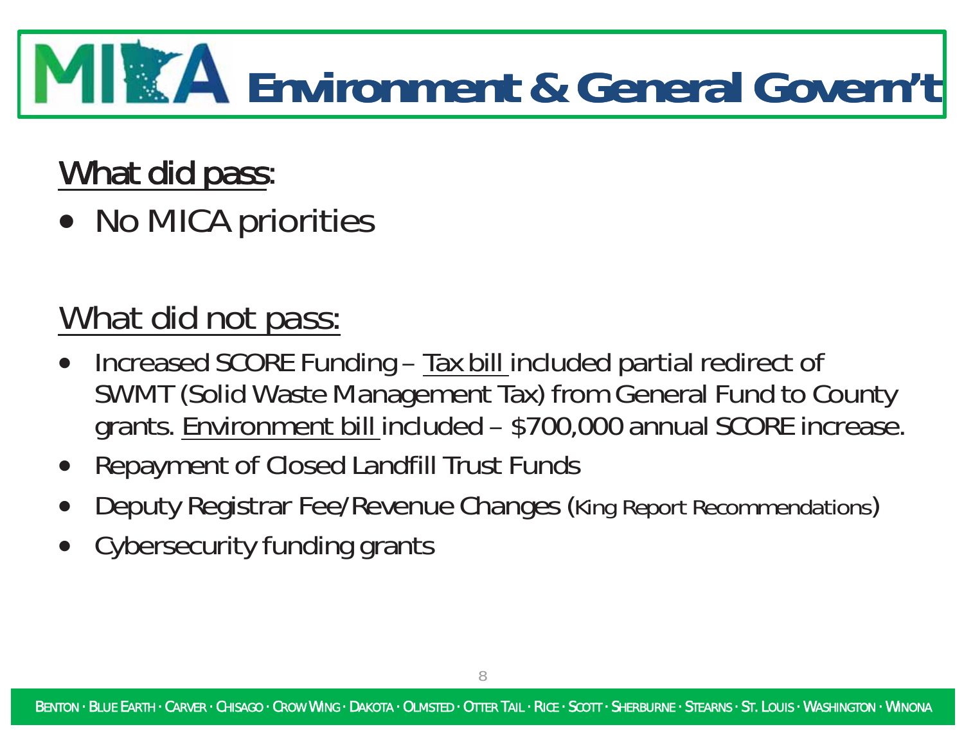# **Environment & General Govern't**

## What did pass:

• No MICA priorities

## *What did not pass:*

- Increased SCORE Funding Tax bill included partial redirect of SWMT (Solid Waste Management Tax) from General Fund to County grants. Environment bill included – \$700,000 annual SCORE increase.
- $\bullet$ Repayment of Closed Landfill Trust Funds
- $\bullet$ Deputy Registrar Fee/Revenue Changes (*King Report Recommendations*)
- $\bullet$ Cybersecurity funding grants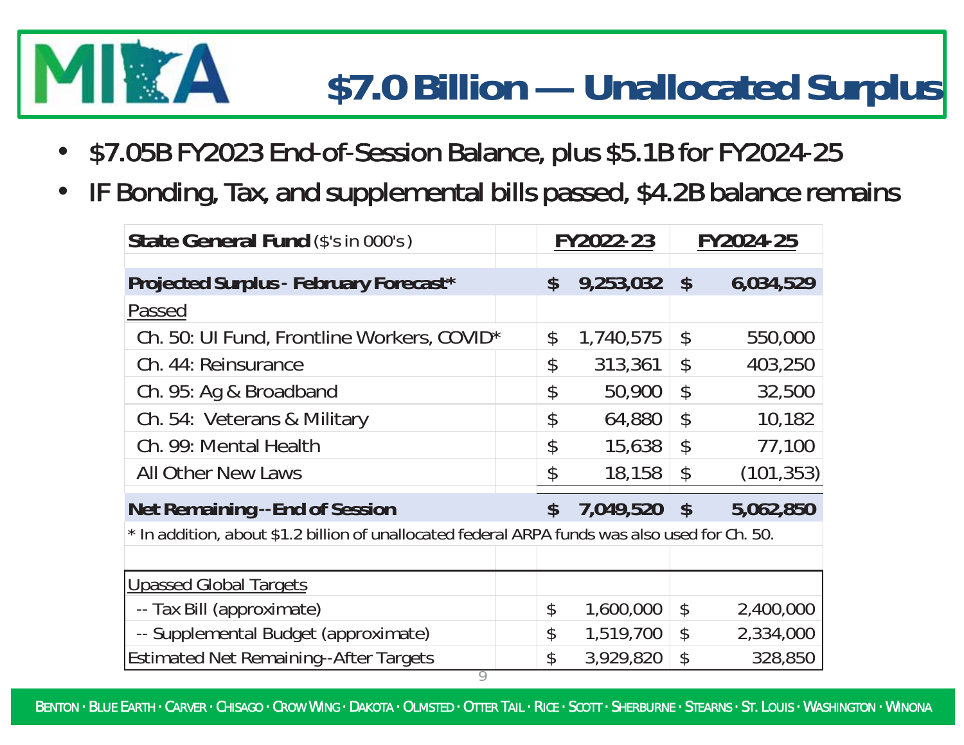# XA

# **\$7.0 Billion — Unallocated Surplus**

- $\bullet$ \$7.05B FY2023 End-of-Session Balance, plus \$5.1B for FY2024-25
- •IF Bonding, Tax, and supplemental bills passed, \$4.2B balance remains

| State General Fund (\$'s in 000's)                                                             |  |                            | FY2022-23 |                            | FY2024-25  |
|------------------------------------------------------------------------------------------------|--|----------------------------|-----------|----------------------------|------------|
| Projected Surplus - February Forecast*                                                         |  | \$                         | 9,253,032 | $\boldsymbol{\mathsf{S}}$  | 6,034,529  |
| Passed                                                                                         |  |                            |           |                            |            |
| Ch. 50: UI Fund, Frontline Workers, COVID*                                                     |  | \$                         | 1,740,575 | $\boldsymbol{\mathsf{\$}}$ | 550,000    |
| Ch. 44: Reinsurance                                                                            |  | \$                         | 313,361   | $\mathcal{L}$              | 403,250    |
| Ch. 95: Ag & Broadband                                                                         |  | \$                         | 50,900    | $\boldsymbol{\mathcal{L}}$ | 32,500     |
| Ch. 54: Veterans & Military                                                                    |  | \$                         | 64,880    | $\boldsymbol{\beta}$       | 10,182     |
| Ch. 99: Mental Health                                                                          |  | \$                         | 15,638    | $\boldsymbol{\mathsf{\$}}$ | 77,100     |
| <b>All Other New Laws</b>                                                                      |  | \$                         | 18,158    | \$                         | (101, 353) |
| <b>Net Remaining --End of Session</b>                                                          |  | $\boldsymbol{\mathsf{S}}$  | 7,049,520 | $\boldsymbol{\mathsf{S}}$  | 5,062,850  |
| * In addition, about \$1.2 billion of unallocated federal ARPA funds was also used for Ch. 50. |  |                            |           |                            |            |
|                                                                                                |  |                            |           |                            |            |
| <b>Upassed Global Targets</b>                                                                  |  |                            |           |                            |            |
| -- Tax Bill (approximate)                                                                      |  | \$                         | 1,600,000 | \$                         | 2,400,000  |
| -- Supplemental Budget (approximate)                                                           |  | $\boldsymbol{\mathcal{L}}$ | 1,519,700 | \$                         | 2,334,000  |
| <b>Estimated Net Remaining--After Targets</b>                                                  |  | \$                         | 3,929,820 | \$                         | 328,850    |

BENTON · BLUE EARTH · CARVER · CHISAGO · CROW WING · DAKOTA · OLMSTED · OTTER TAIL · RICE · SCOTT · SHERBURNE · STEARNS · ST. LOUIS · WASHINGTON · WINONA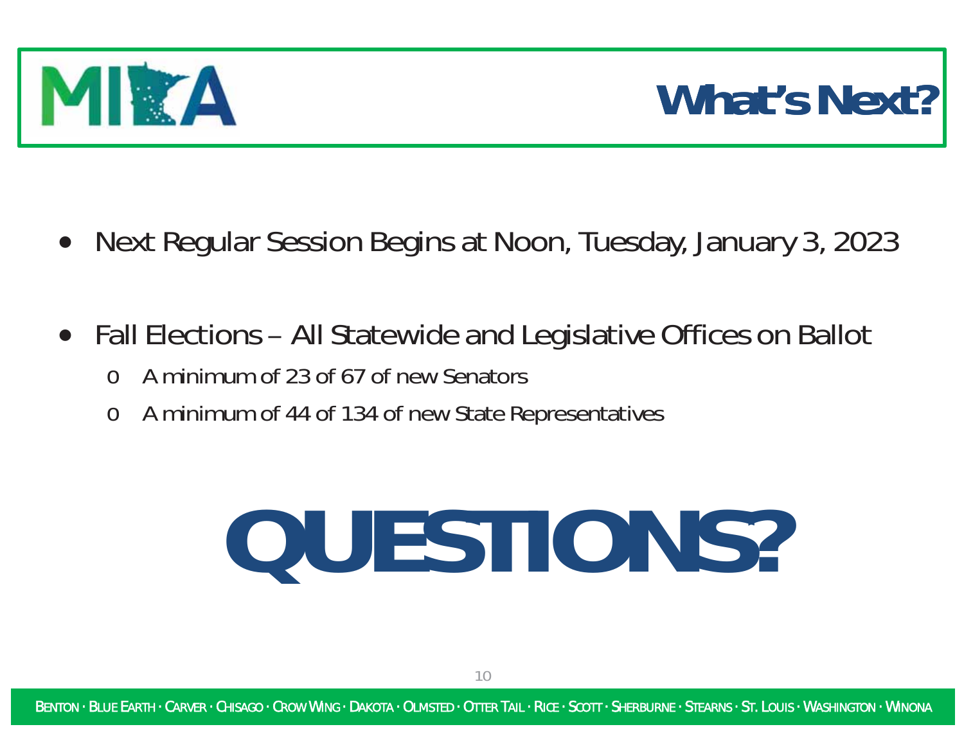

# **What's Next?**

- $\bullet$ Next Regular Session Begins at Noon, Tuesday, January 3, 2023
- Fall Elections All Statewide and Legislative Offices on Ballot
	- $\Omega$ A minimum of 23 of 67 of new Senators
	- $\Omega$ A minimum of 44 of 134 of new State Representatives

# **QUESTIONS?**

BENTON · BLUE EARTH · CARVER · CHISAGO · CROW WING · DAKOTA · OLMSTED · OTTER TAIL · RICE · SCOTT · SHERBURNE · STEARNS · ST. LOUIS · WASHINGTON · WINONA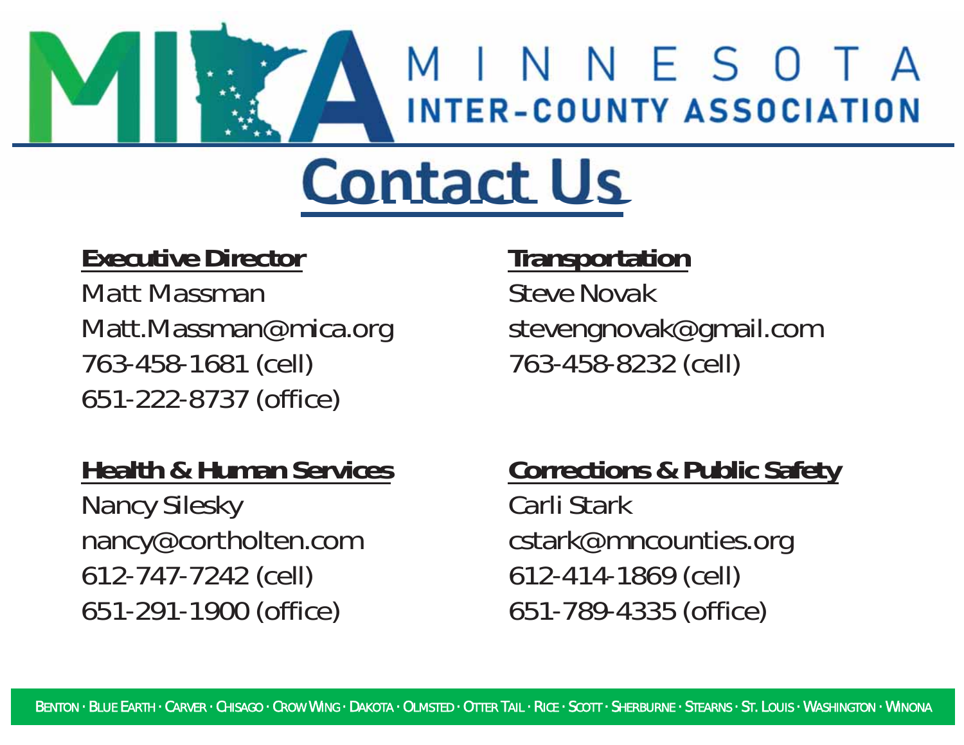# MINNESOTA **INTER-COUNTY ASSOCIATION**

# **Contact Us**

### **Executive Director**

*Matt Massman*Matt.Massman@mica.org 763-458-1681 (cell) 651-222-8737 (office)

### **Health & Human Services**

*Nancy Silesky* nancy@cortholten.com 612-747-7242 (cell) 651-291-1900 (office)

### **Transportation**

*Steve Novak* stevengnovak@gmail.com 763-458-8232 (cell)

### **Corrections & Public Safety**

*Carli Stark*cstark@mncounties.org 612-414-1869 (cell) 651-789-4335 (office)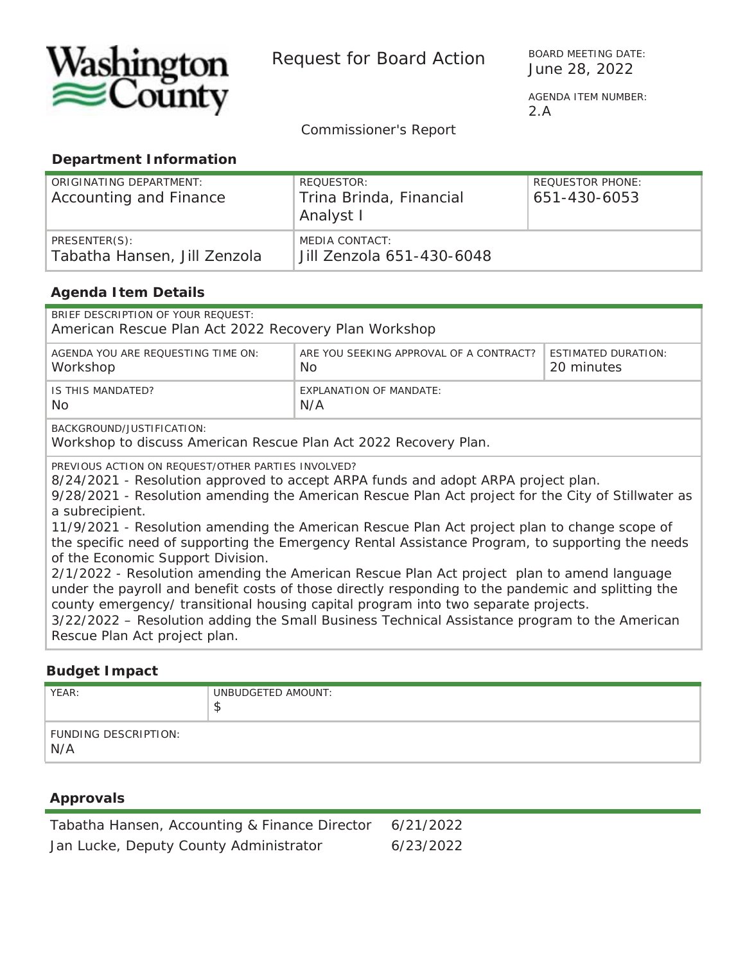

Request for Board Action<br>June 28, 2022

BOARD MEETING DATE:

 AGENDA ITEM NUMBER: 2.A

*Commissioner's Report*

#### **Department Information**

| ORIGINATING DEPARTMENT:<br>Accounting and Finance | REOUESTOR:<br>Trina Brinda, Financial<br>Analyst I | <b>REQUESTOR PHONE:</b><br>651-430-6053 |
|---------------------------------------------------|----------------------------------------------------|-----------------------------------------|
| PRESENTER(S):<br>Tabatha Hansen, Jill Zenzola     | MEDIA CONTACT:<br>Jill Zenzola 651-430-6048        |                                         |

#### **Agenda Item Details**

| BRIEF DESCRIPTION OF YOUR REQUEST:<br>American Rescue Plan Act 2022 Recovery Plan Workshop                                             |                                                |                                          |  |  |  |  |
|----------------------------------------------------------------------------------------------------------------------------------------|------------------------------------------------|------------------------------------------|--|--|--|--|
| AGENDA YOU ARE REQUESTING TIME ON:<br>Workshop                                                                                         | ARE YOU SEEKING APPROVAL OF A CONTRACT?<br>No. | <b>ESTIMATED DURATION:</b><br>20 minutes |  |  |  |  |
| IS THIS MANDATED?<br>No.                                                                                                               | EXPLANATION OF MANDATE:<br>N/A                 |                                          |  |  |  |  |
| BACKGROUND/JUSTIFICATION:<br>Workshop to discuss American Rescue Plan Act 2022 Recovery Plan.                                          |                                                |                                          |  |  |  |  |
| PREVIOUS ACTION ON REOUEST/OTHER PARTIES INVOLVED?<br>8/24/2021 - Resolution approved to accept ARPA funds and adopt ARPA project plan |                                                |                                          |  |  |  |  |

8/24/2021 - Resolution approved to accept ARPA funds and adopt ARPA project plan.

9/28/2021 - Resolution amending the American Rescue Plan Act project for the City of Stillwater as a subrecipient.

11/9/2021 - Resolution amending the American Rescue Plan Act project plan to change scope of the specific need of supporting the Emergency Rental Assistance Program, to supporting the needs of the Economic Support Division.

2/1/2022 - Resolution amending the American Rescue Plan Act project plan to amend language under the payroll and benefit costs of those directly responding to the pandemic and splitting the county emergency/ transitional housing capital program into two separate projects.

3/22/2022 – Resolution adding the Small Business Technical Assistance program to the American Rescue Plan Act project plan.

#### **Budget Impact**

| YEAR:                       | UNBUDGETED AMOUNT:<br>w |
|-----------------------------|-------------------------|
| FUNDING DESCRIPTION:<br>N/A |                         |

#### **Approvals**

| Tabatha Hansen, Accounting & Finance Director | 6/21/2022 |
|-----------------------------------------------|-----------|
| Jan Lucke, Deputy County Administrator        | 6/23/2022 |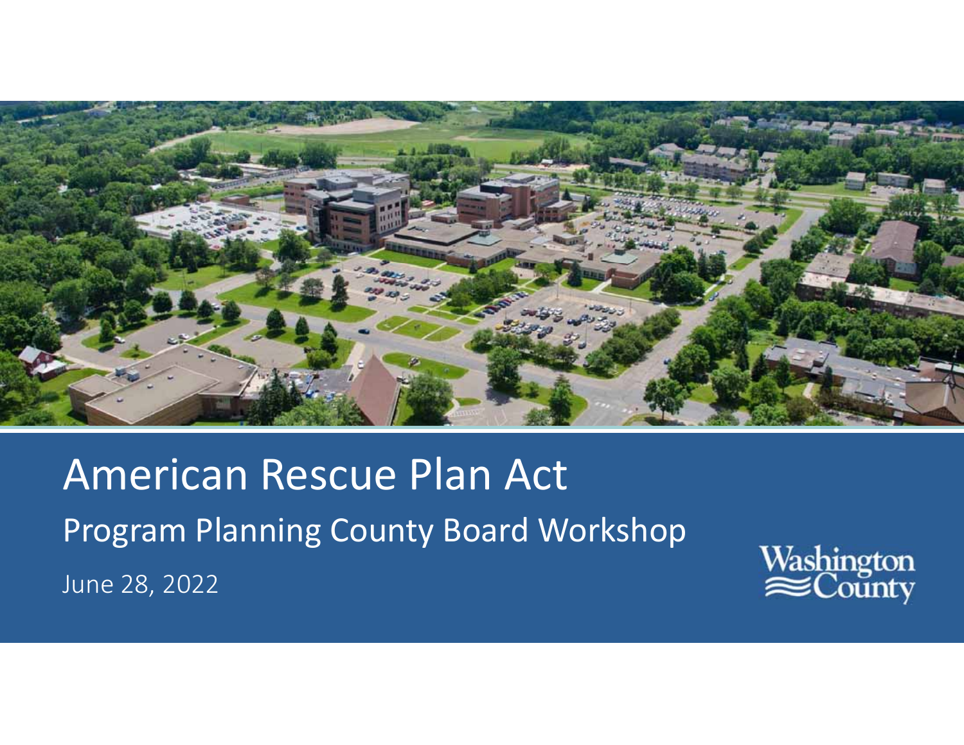

# American Rescue Plan Act Program Planning County Board Workshop June 28, 2022

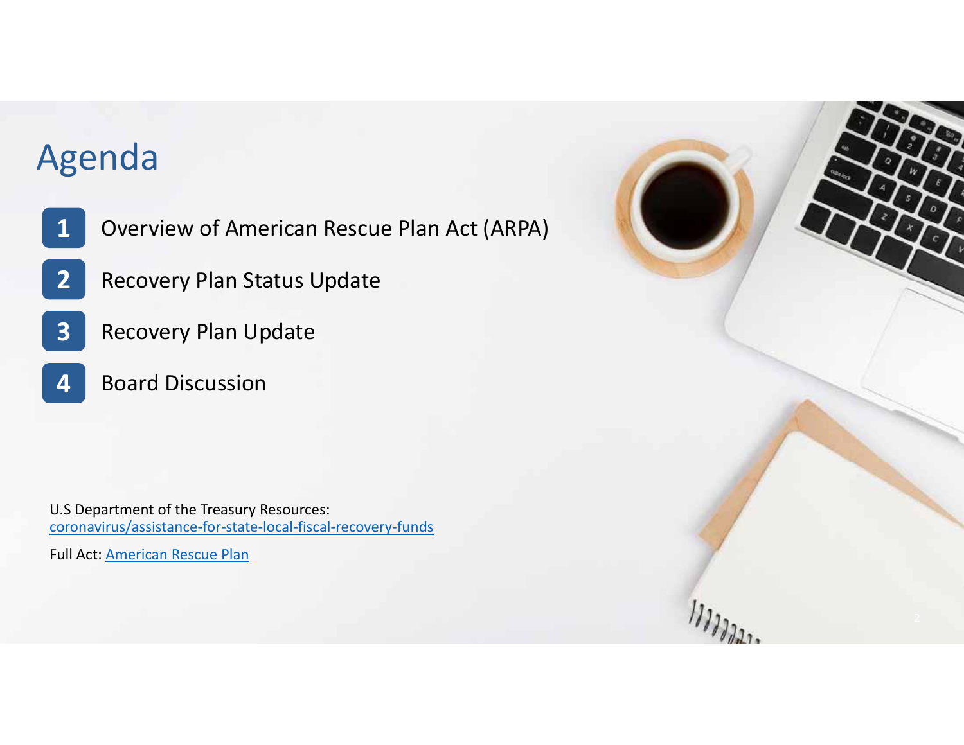### Agenda

**2**

- Overview of American Rescue Plan Act (ARPA) **1**
	- Recovery Plan Status Update
- **3**Recovery Plan Update
- **4**Board Discussion

U.S Department of the Treasury Resources: coronavirus/assistance-for-state-local-fiscal-recovery-funds

Full Act: American Rescue Plan

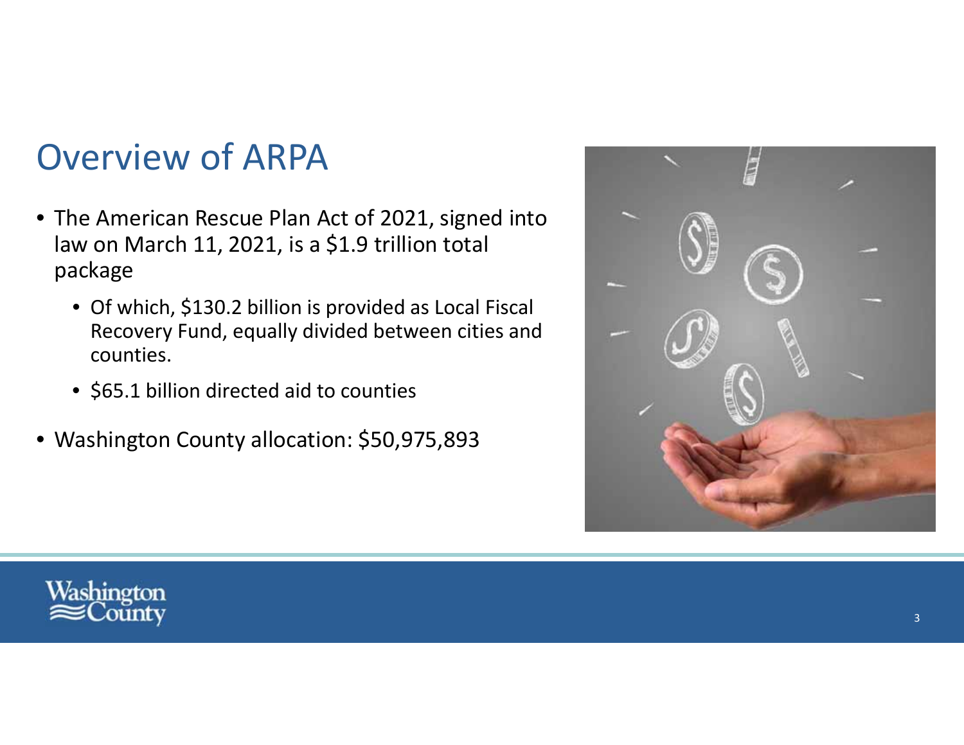### Overview of ARPA

- The American Rescue Plan Act of 2021, signed into law on March 11, 2021, is <sup>a</sup> \$1.9 trillion total package
	- Of which, \$130.2 billion is provided as Local Fiscal Recovery Fund, equally divided between cities and counties.
	- \$65.1 billion directed aid to counties
- Washington County allocation: \$50,975,893



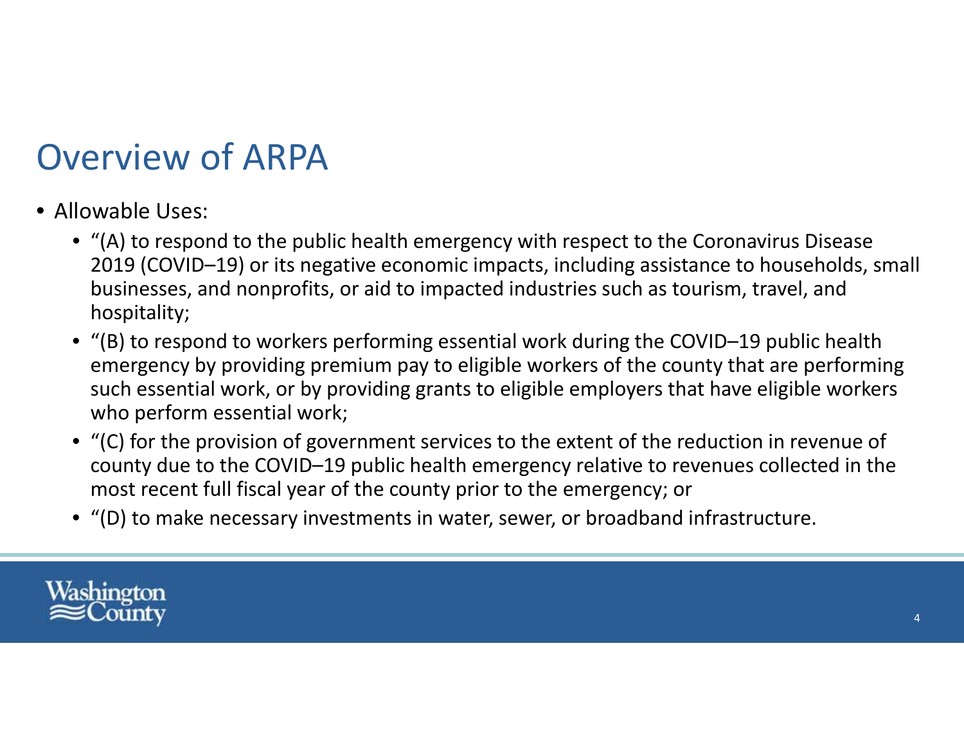### Overview of ARPA

- Allowable Uses:
	- "(A) to respond to the public health emergency with respect to the Coronavirus Disease 2019 (COVID–19) or its negative economic impacts, including assistance to households, small businesses, and nonprofits, or aid to impacted industries such as tourism, travel, and hospitality;
	- "(B) to respond to workers performing essential work during the COVID–19 public health emergency by providing premium pay to eligible workers of the county that are performing such essential work, or by providing grants to eligible employers that have eligible workers who perform essential work;
	- "(C) for the provision of government services to the extent of the reduction in revenue of county due to the COVID–19 public health emergency relative to revenues collected in the most recent full fiscal year of the county prior to the emergency; or
	- "(D) to make necessary investments in water, sewer, or broadband infrastructure.

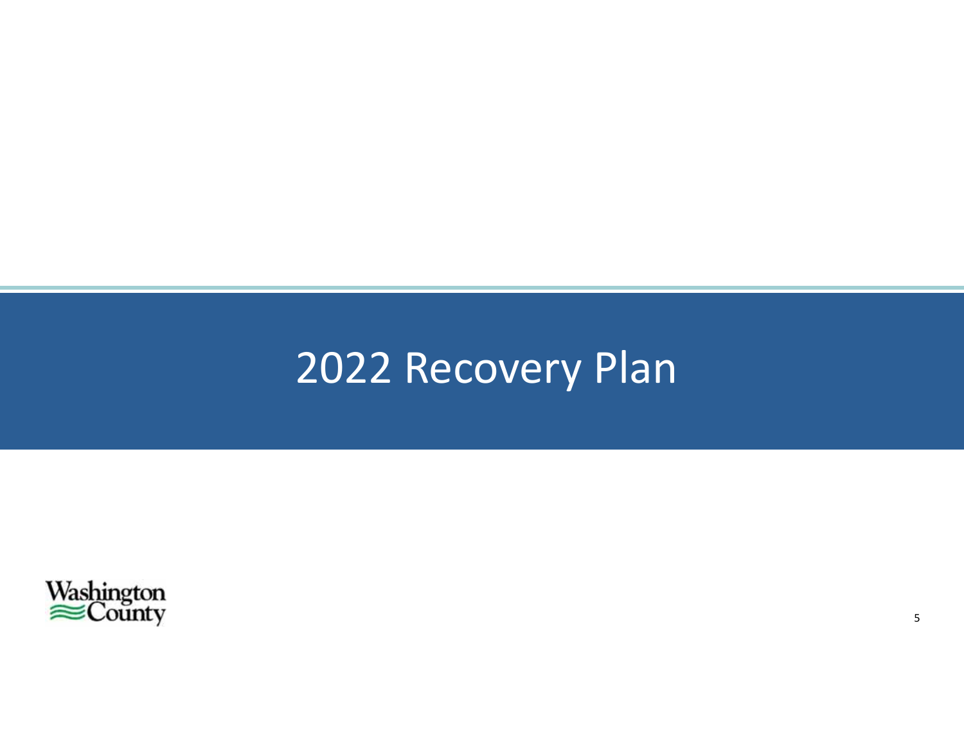## 2022 Recovery Plan

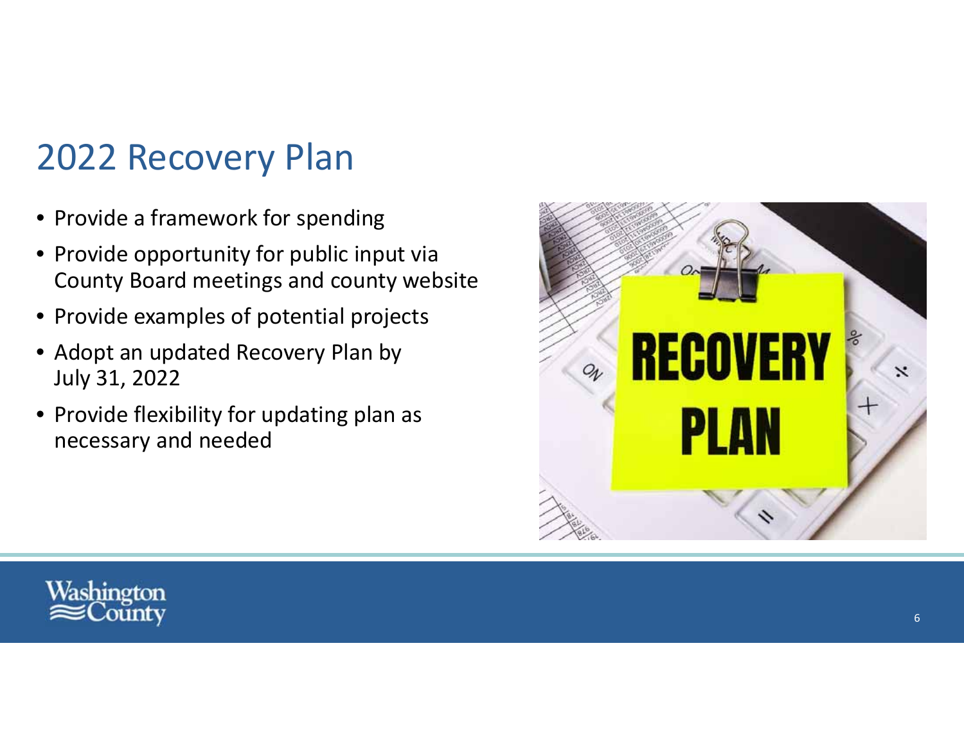### 2022 Recovery Plan

- Provide <sup>a</sup> framework for spending
- Provide opportunity for public input via County Board meetings and county website
- Provide examples of potential projects
- Adopt an updated Recovery Plan by July 31, 2022
- Provide flexibility for updating plan as necessary and needed



![](_page_19_Picture_7.jpeg)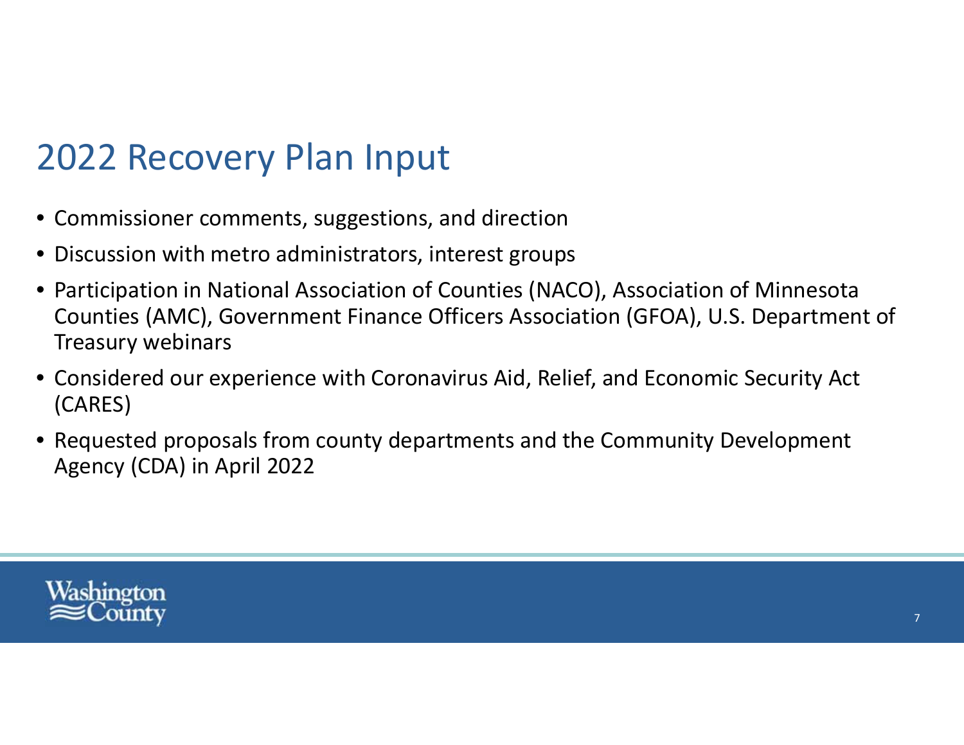### 2022 Recovery Plan Input

- Commissioner comments, suggestions, and direction
- Discussion with metro administrators, interest groups
- Participation in National Association of Counties (NACO), Association of Minnesota Counties (AMC), Government Finance Officers Association (GFOA), U.S. Department of Treasury webinars
- Considered our experience with Coronavirus Aid, Relief, and Economic Security Act (CARES)
- Requested proposals from county departments and the Community Development Agency (CDA) in April 2022

![](_page_20_Picture_6.jpeg)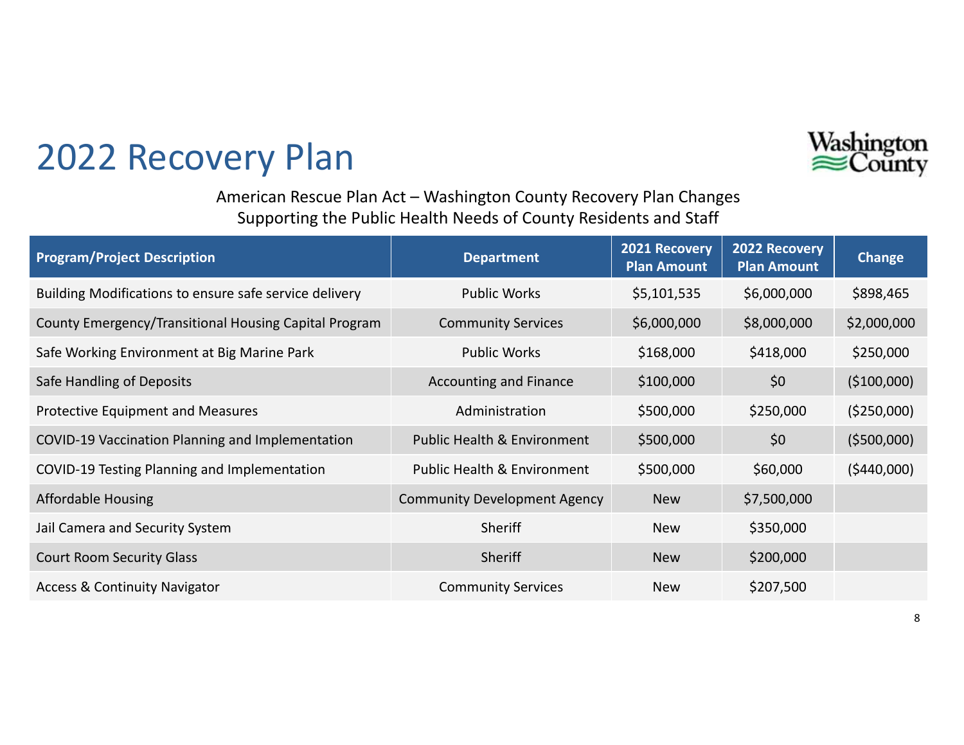![](_page_21_Picture_0.jpeg)

### 2022 Recovery Plan

American Rescue Plan Act – Washington County Recovery Plan Changes Supporting the Public Health Needs of County Residents and Staff

| <b>Program/Project Description</b>                     | <b>Department</b>                      | 2021 Recovery<br><b>Plan Amount</b> | 2022 Recovery<br><b>Plan Amount</b> | <b>Change</b> |
|--------------------------------------------------------|----------------------------------------|-------------------------------------|-------------------------------------|---------------|
| Building Modifications to ensure safe service delivery | <b>Public Works</b>                    | \$5,101,535                         | \$6,000,000                         | \$898,465     |
| County Emergency/Transitional Housing Capital Program  | <b>Community Services</b>              | \$6,000,000                         | \$8,000,000                         | \$2,000,000   |
| Safe Working Environment at Big Marine Park            | <b>Public Works</b>                    | \$168,000                           | \$418,000                           | \$250,000     |
| Safe Handling of Deposits                              | <b>Accounting and Finance</b>          | \$100,000                           | \$0                                 | (\$100,000)   |
| <b>Protective Equipment and Measures</b>               | Administration                         | \$500,000                           | \$250,000                           | ( \$250,000)  |
| COVID-19 Vaccination Planning and Implementation       | <b>Public Health &amp; Environment</b> | \$500,000                           | \$0                                 | ( \$500,000)  |
| COVID-19 Testing Planning and Implementation           | <b>Public Health &amp; Environment</b> | \$500,000                           | \$60,000                            | (5440,000)    |
| <b>Affordable Housing</b>                              | <b>Community Development Agency</b>    | <b>New</b>                          | \$7,500,000                         |               |
| Jail Camera and Security System                        | Sheriff                                | <b>New</b>                          | \$350,000                           |               |
| <b>Court Room Security Glass</b>                       | Sheriff                                | <b>New</b>                          | \$200,000                           |               |
| <b>Access &amp; Continuity Navigator</b>               | <b>Community Services</b>              | <b>New</b>                          | \$207,500                           |               |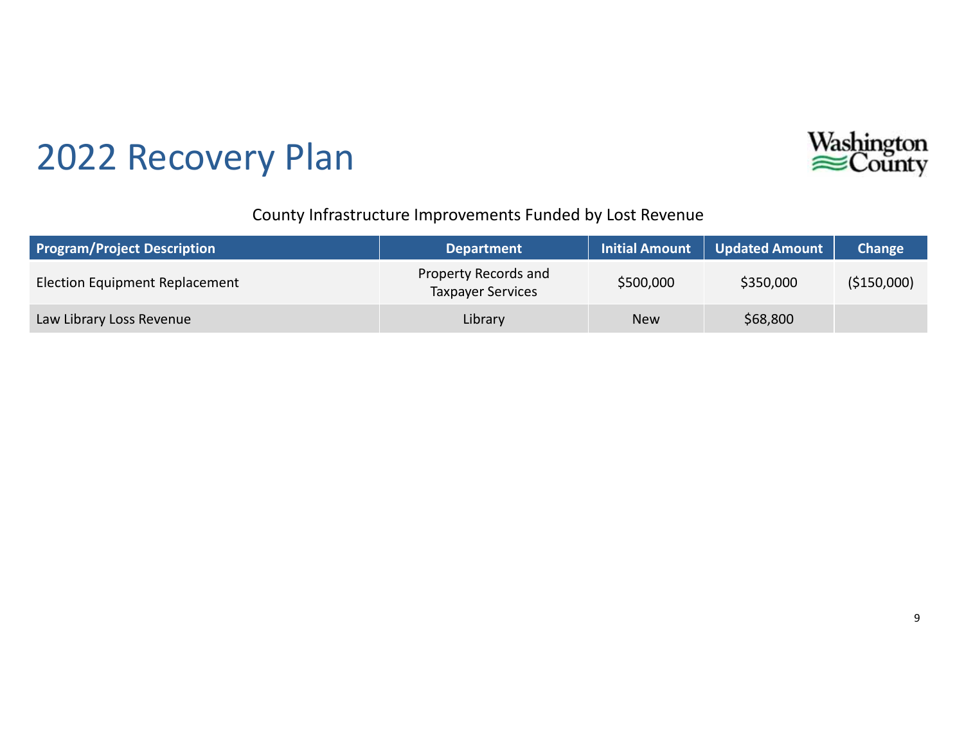![](_page_22_Picture_0.jpeg)

![](_page_22_Picture_1.jpeg)

#### County Infrastructure Improvements Funded by Lost Revenue

| <b>Program/Project Description</b>    | <b>Department</b>                                | <b>Initial Amount</b> | Updated Amount | Change      |
|---------------------------------------|--------------------------------------------------|-----------------------|----------------|-------------|
| <b>Election Equipment Replacement</b> | Property Records and<br><b>Taxpayer Services</b> | \$500,000             | \$350,000      | (\$150,000) |
| Law Library Loss Revenue              | Library                                          | <b>New</b>            | \$68,800       |             |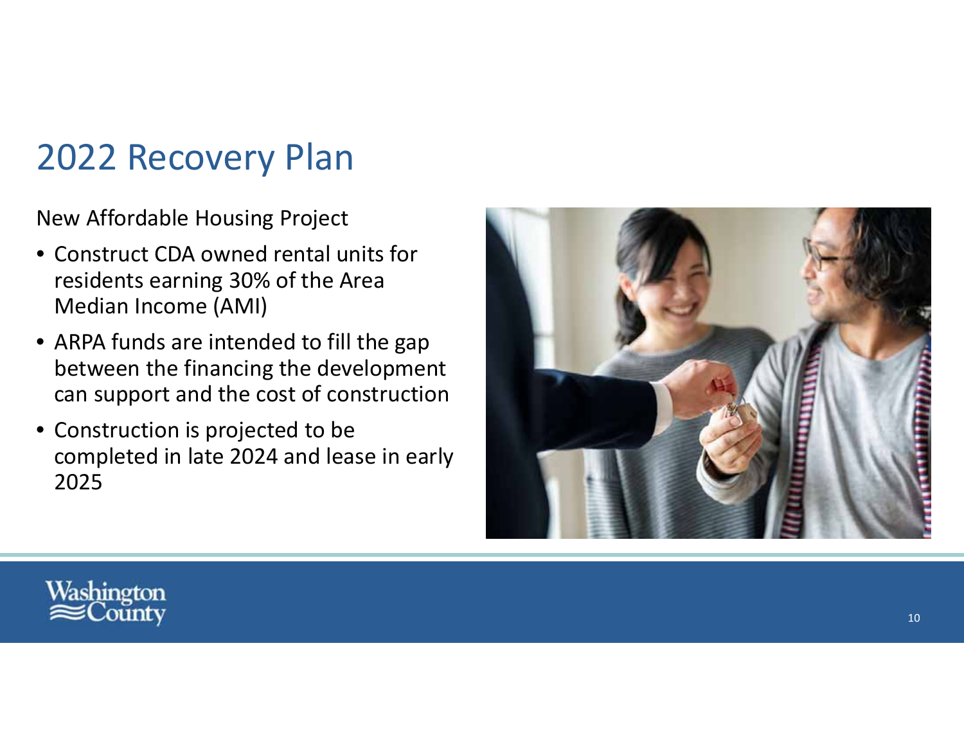### 2022 Recovery Plan

New Affordable Housing Project

- Construct CDA owned rental units for residents earning 30% of the Area Median Income (AMI)
- ARPA funds are intended to fill the gap between the financing the development can support and the cost of construction
- Construction is projected to be completed in late 2024 and lease in early 2025

![](_page_23_Picture_5.jpeg)

![](_page_23_Picture_6.jpeg)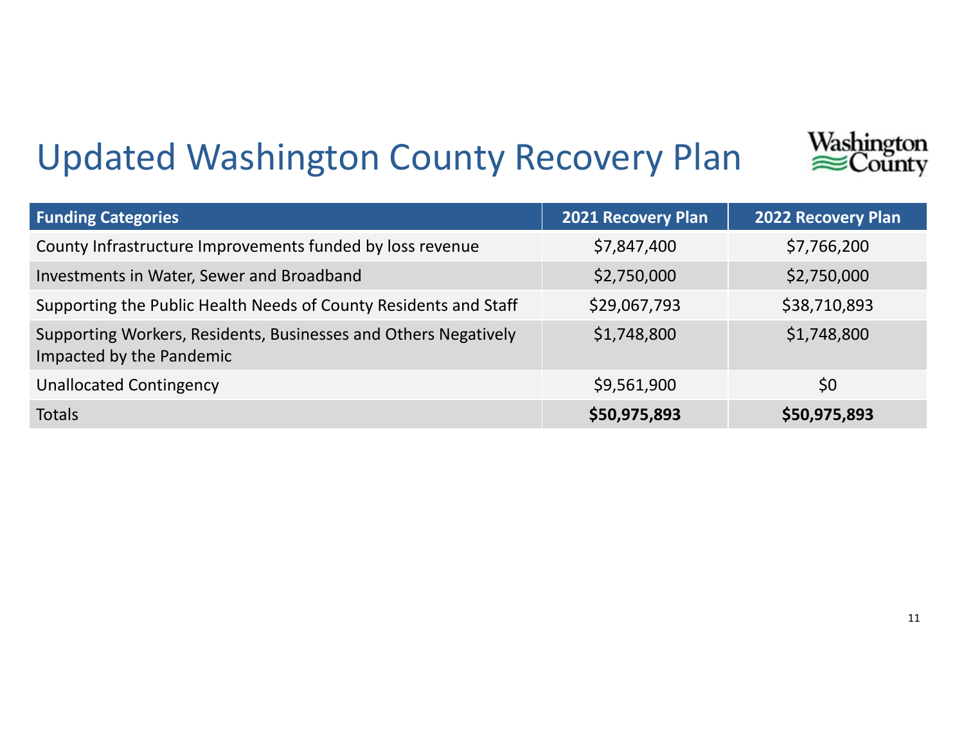## Updated Washington County Recovery Plan

![](_page_24_Picture_1.jpeg)

Washington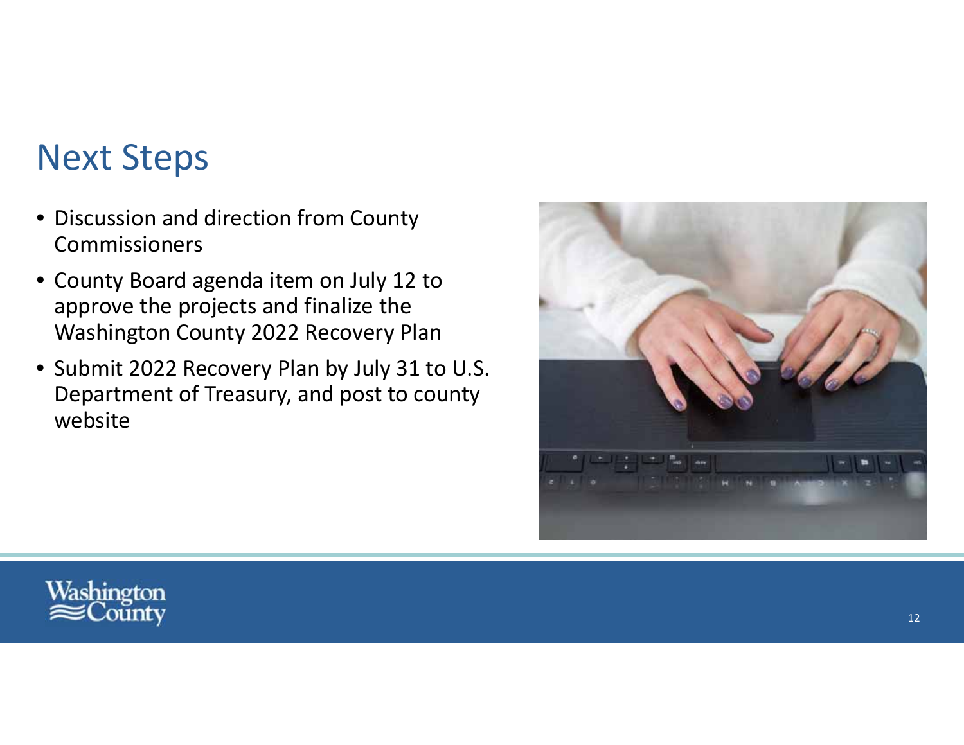### Next Steps

- Discussion and direction from County Commissioners
- County Board agenda item on July 12 to approve the projects and finalize the Washington County 2022 Recovery Plan
- Submit 2022 Recovery Plan by July 31 to U.S. Department of Treasury, and post to county website

![](_page_25_Picture_4.jpeg)

![](_page_25_Picture_5.jpeg)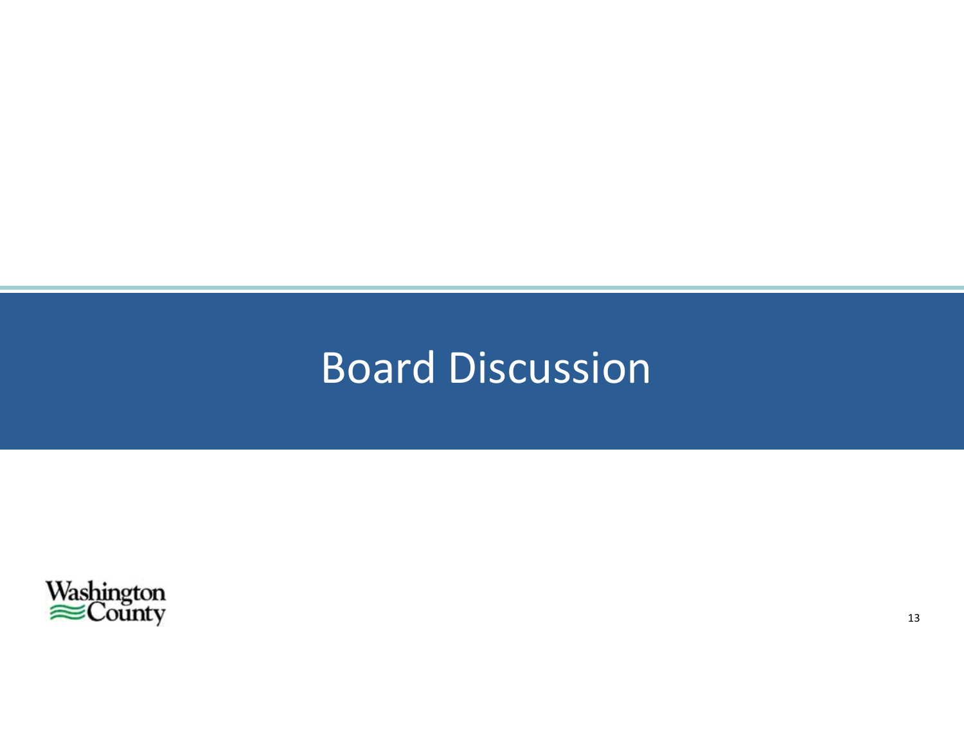### Board Discussion

![](_page_26_Picture_1.jpeg)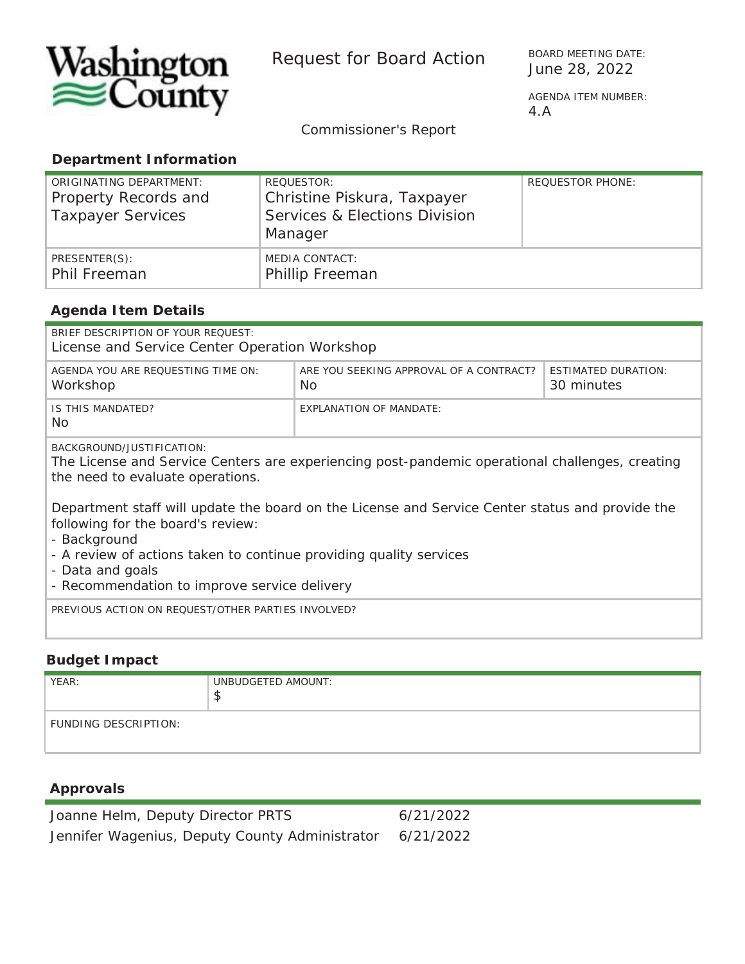![](_page_27_Picture_0.jpeg)

Request for Board Action BOARD MEETING DAT

BOARD MEETING DATE:

4.A

*Commissioner's Report*

#### **Department Information**

| ORIGINATING DEPARTMENT:<br>Property Records and<br><b>Taxpayer Services</b> | REQUESTOR:<br>Christine Piskura, Taxpayer<br>Services & Elections Division<br>Manager | <b>REQUESTOR PHONE:</b> |
|-----------------------------------------------------------------------------|---------------------------------------------------------------------------------------|-------------------------|
| PRESENTER(S):<br>Phil Freeman                                               | MEDIA CONTACT:<br><b>Phillip Freeman</b>                                              |                         |

#### **Agenda Item Details**

| BRIEF DESCRIPTION OF YOUR REOUEST:<br>License and Service Center Operation Workshop                                                                                                                                                                                                                                                                                                                                                                                |                                                                                            |  |  |  |  |
|--------------------------------------------------------------------------------------------------------------------------------------------------------------------------------------------------------------------------------------------------------------------------------------------------------------------------------------------------------------------------------------------------------------------------------------------------------------------|--------------------------------------------------------------------------------------------|--|--|--|--|
| AGENDA YOU ARE REQUESTING TIME ON:<br>Workshop                                                                                                                                                                                                                                                                                                                                                                                                                     | ARE YOU SEEKING APPROVAL OF A CONTRACT?<br><b>ESTIMATED DURATION:</b><br>No.<br>30 minutes |  |  |  |  |
| IS THIS MANDATED?<br>No.                                                                                                                                                                                                                                                                                                                                                                                                                                           | <b>EXPLANATION OF MANDATE:</b>                                                             |  |  |  |  |
| BACKGROUND/JUSTIFICATION:<br>The License and Service Centers are experiencing post-pandemic operational challenges, creating<br>the need to evaluate operations.<br>Department staff will update the board on the License and Service Center status and provide the<br>following for the board's review:<br>- Background<br>- A review of actions taken to continue providing quality services<br>- Data and goals<br>- Recommendation to improve service delivery |                                                                                            |  |  |  |  |
| PREVIOUS ACTION ON REQUEST/OTHER PARTIES INVOLVED?                                                                                                                                                                                                                                                                                                                                                                                                                 |                                                                                            |  |  |  |  |

#### **Budget Impact**

| YEAR:                       | UNBUDGETED AMOUNT:<br>◡ |
|-----------------------------|-------------------------|
| <b>FUNDING DESCRIPTION:</b> |                         |

#### **Approvals**

| Joanne Helm, Deputy Director PRTS              | 6/21/2022 |
|------------------------------------------------|-----------|
| Jennifer Wagenius, Deputy County Administrator | 6/21/2022 |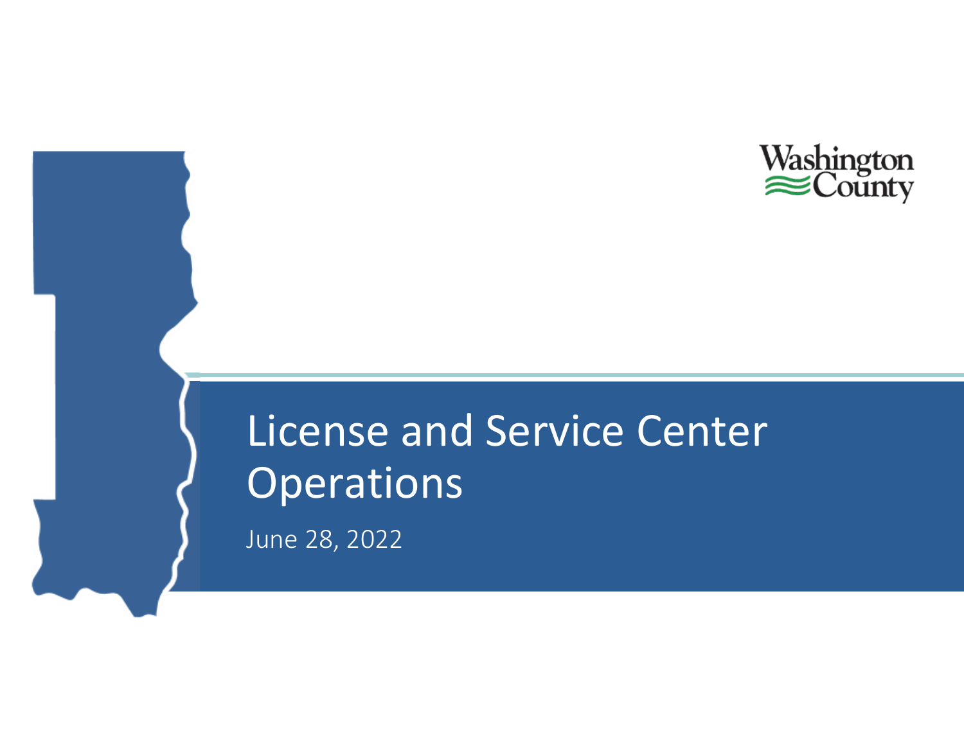![](_page_28_Picture_0.jpeg)

# License and Service Center Operations

June 28, 2022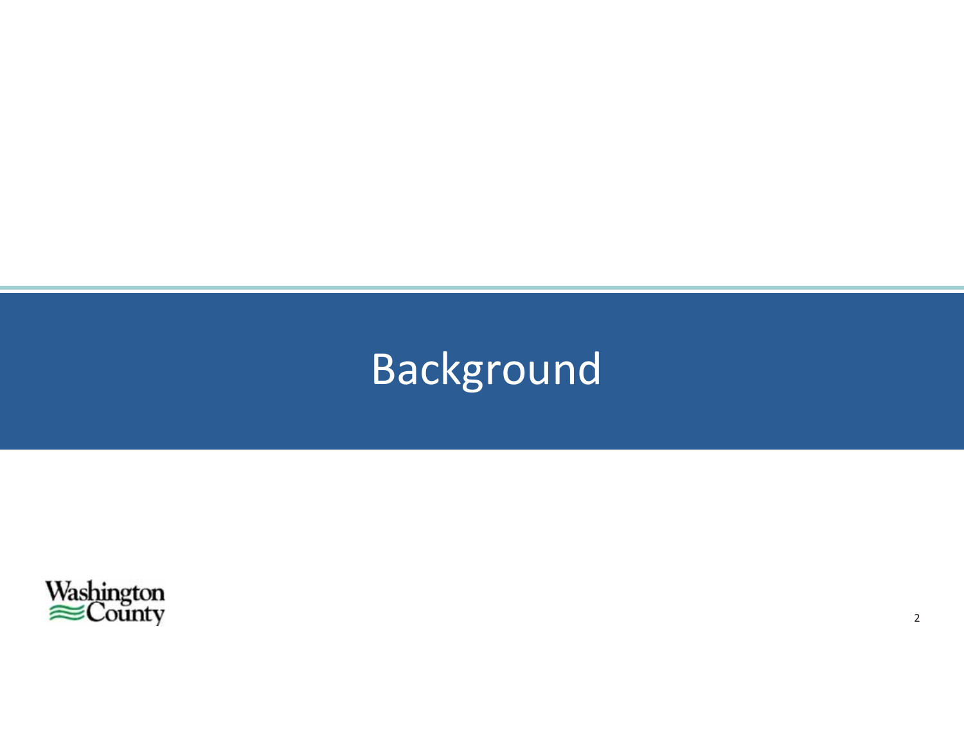# Background

![](_page_29_Picture_1.jpeg)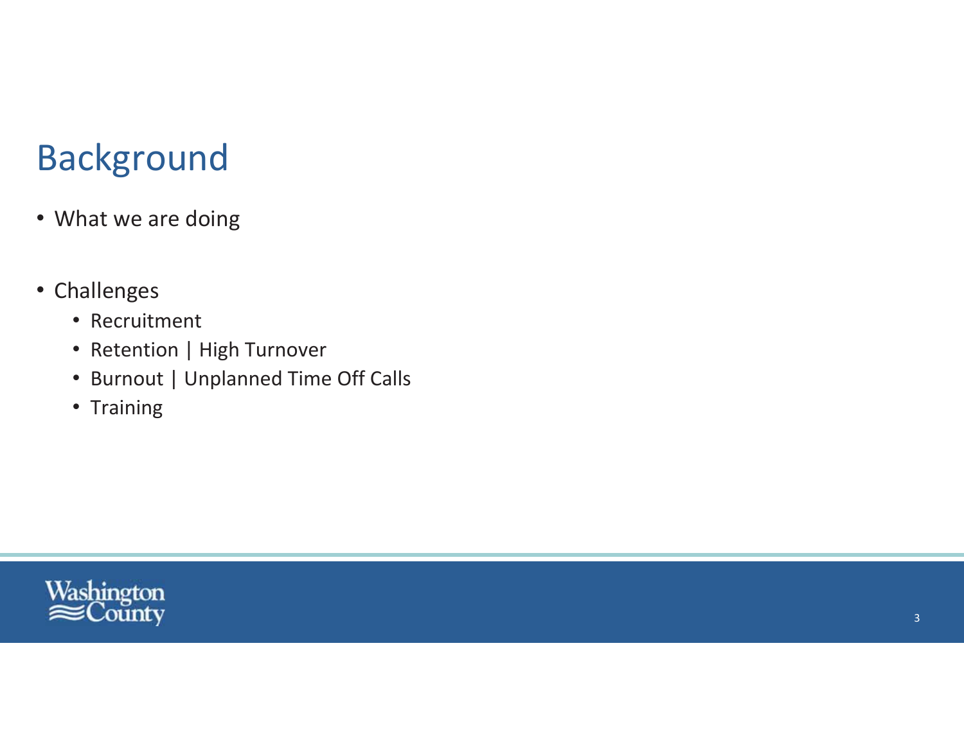### **Background**

- What we are doing
- Challenges
	- Recruitment
	- Retention | High Turnover
	- Burnout | Unplanned Time Off Calls
	- Training

![](_page_30_Picture_7.jpeg)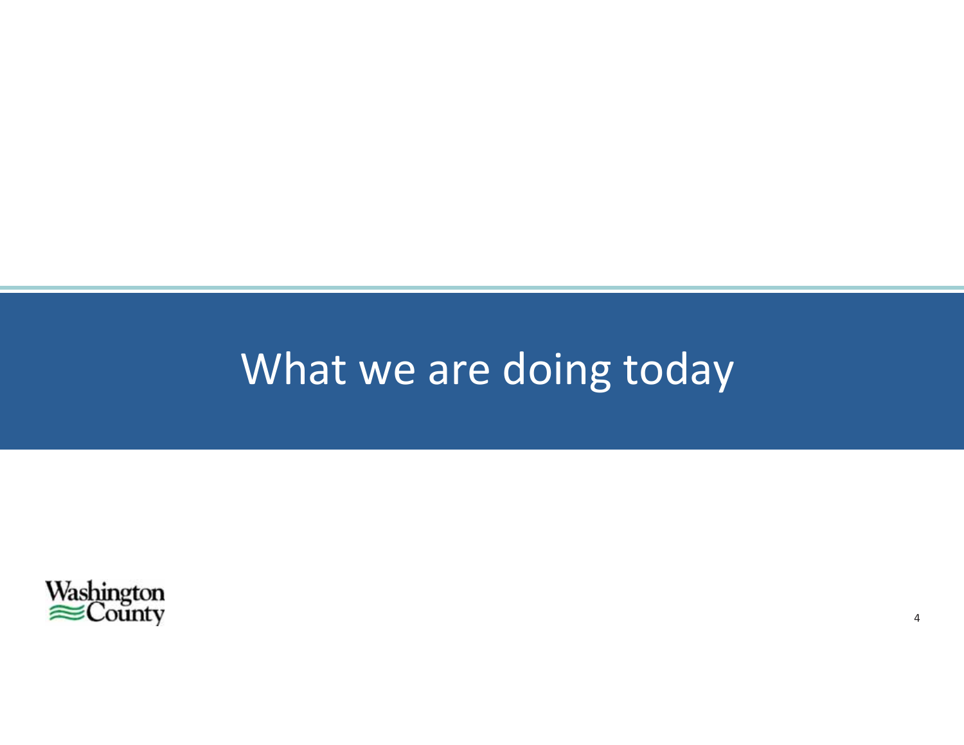# What we are doing today

 $\overline{4}$ 

![](_page_31_Picture_1.jpeg)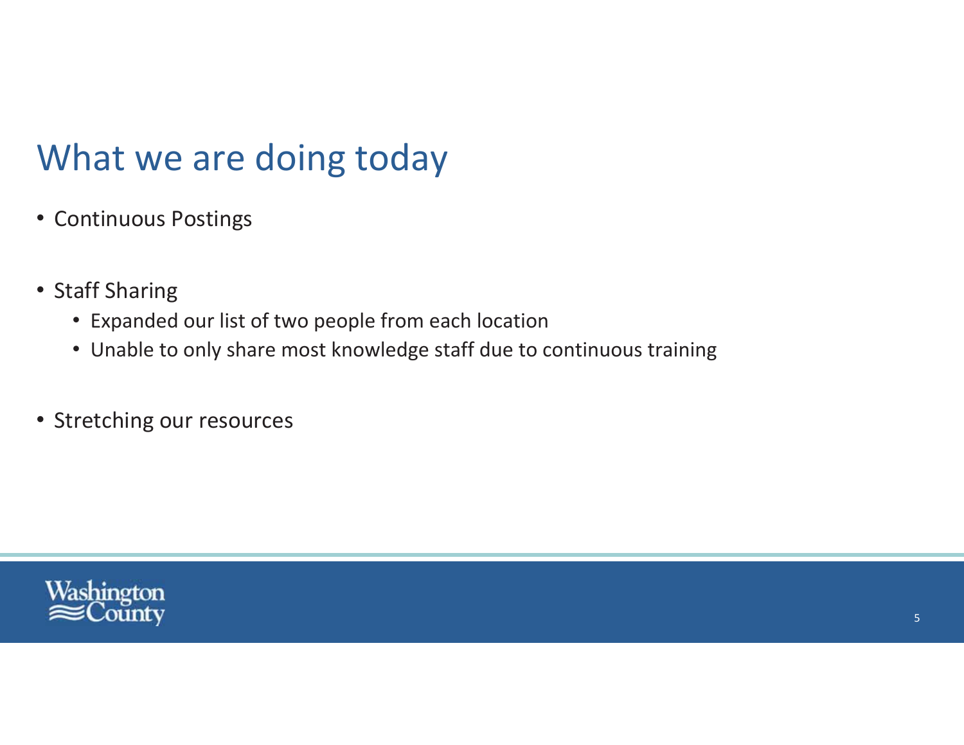### What we are doing today

- Continuous Postings
- Staff Sharing
	- Expanded our list of two people from each location
	- Unable to only share most knowledge staff due to continuous training
- Stretching our resources

![](_page_32_Picture_6.jpeg)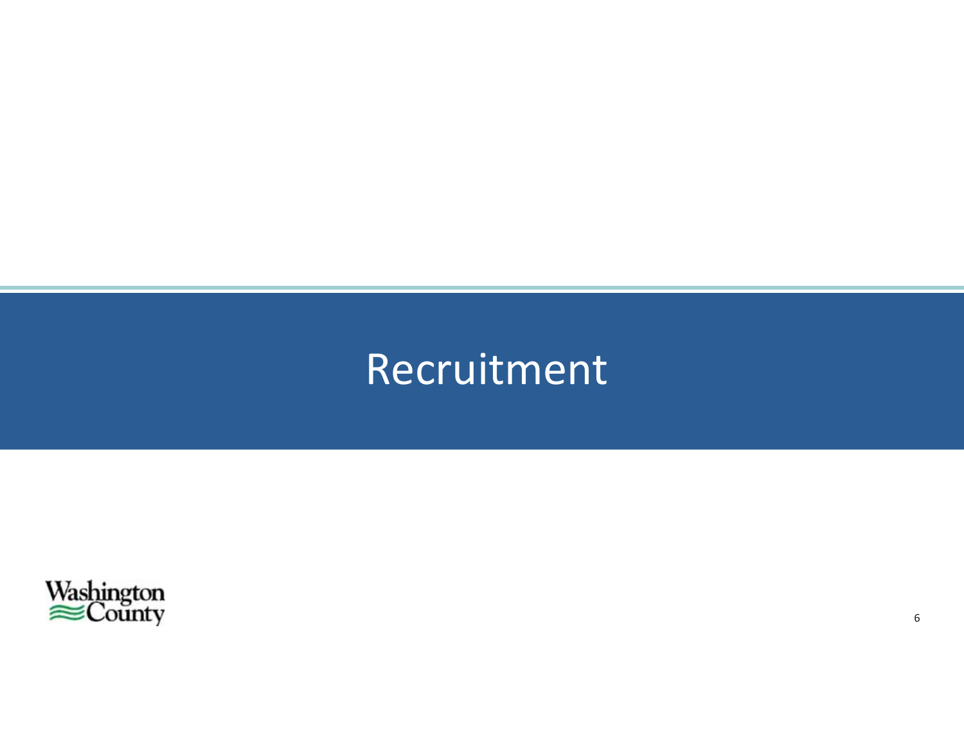# Recruitment

![](_page_33_Picture_1.jpeg)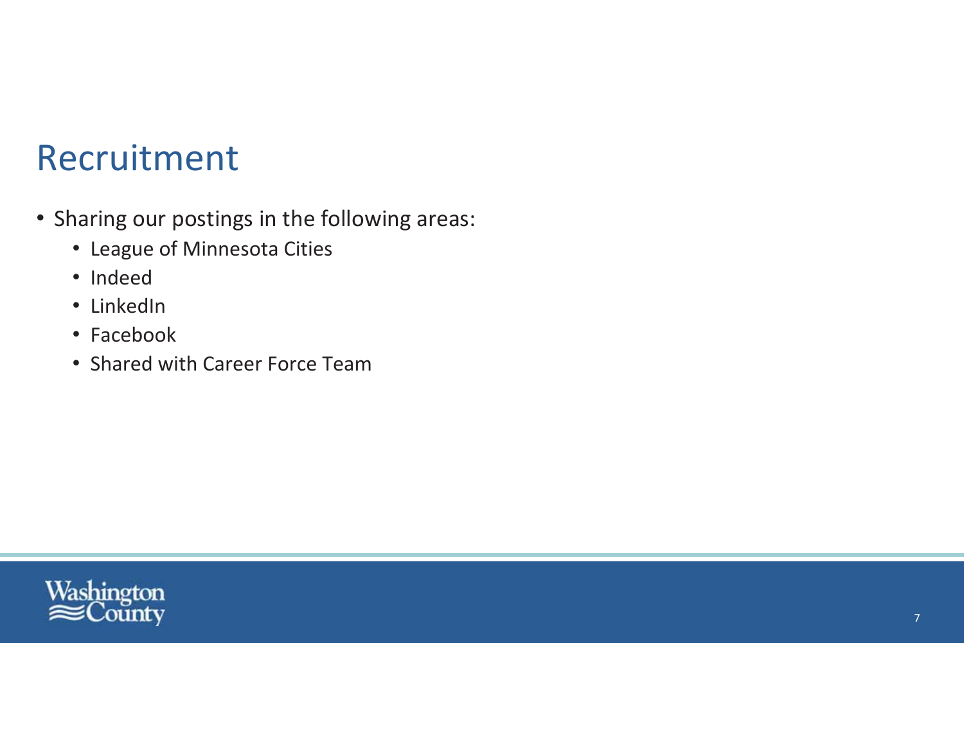### Recruitment

- Sharing our postings in the following areas:
	- League of Minnesota Cities
	- · Indeed
	- LinkedIn
	- Facebook
	- Shared with Career Force Team

![](_page_34_Picture_7.jpeg)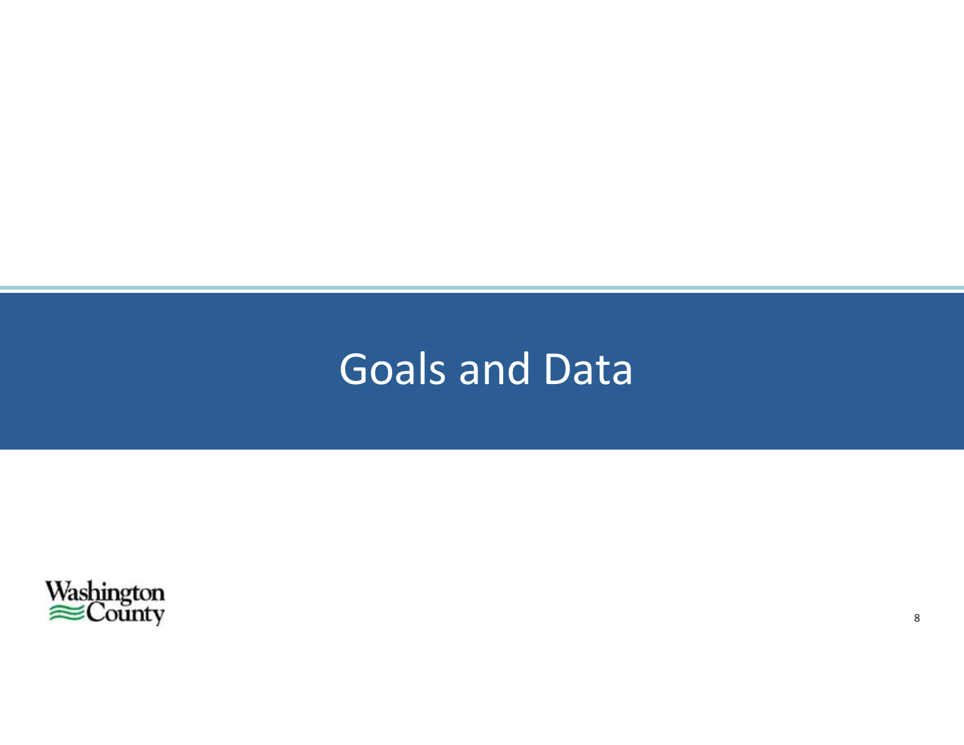### **Goals and Data**

![](_page_35_Picture_1.jpeg)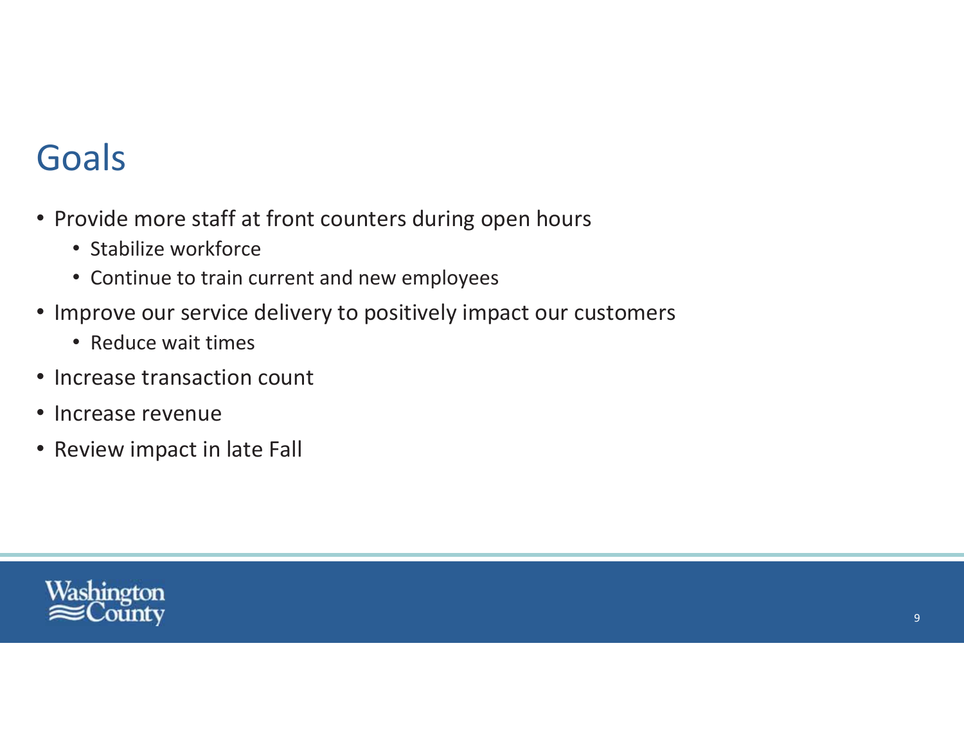### Goals

- Provide more staff at front counters during open hours
	- Stabilize workforce
	- Continue to train current and new employees
- Improve our service delivery to positively impact our customers
	- Reduce wait times
- Increase transaction count
- Increase revenue
- Review impact in late Fall

![](_page_36_Picture_9.jpeg)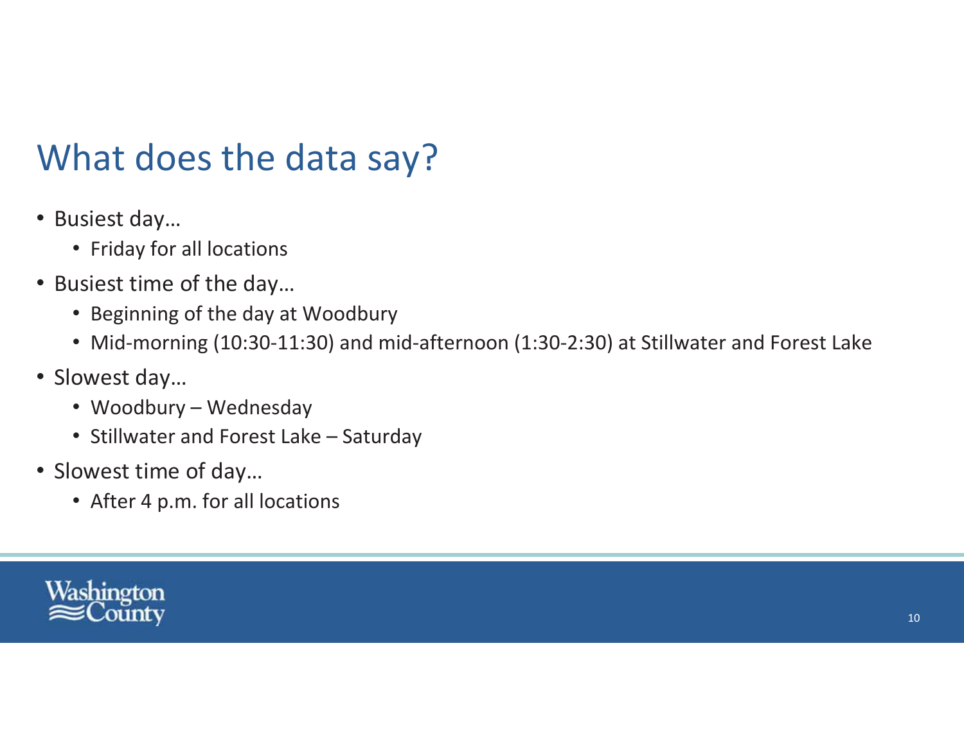### What does the data say?

- Busiest day...
	- Friday for all locations
- Busiest time of the day...
	- Beginning of the day at Woodbury
	- Mid-morning (10:30-11:30) and mid-afternoon (1:30-2:30) at Stillwater and Forest Lake
- Slowest day...
	- Woodbury Wednesday
	- Stillwater and Forest Lake Saturday
- Slowest time of day...
	- After 4 p.m. for all locations

![](_page_37_Picture_11.jpeg)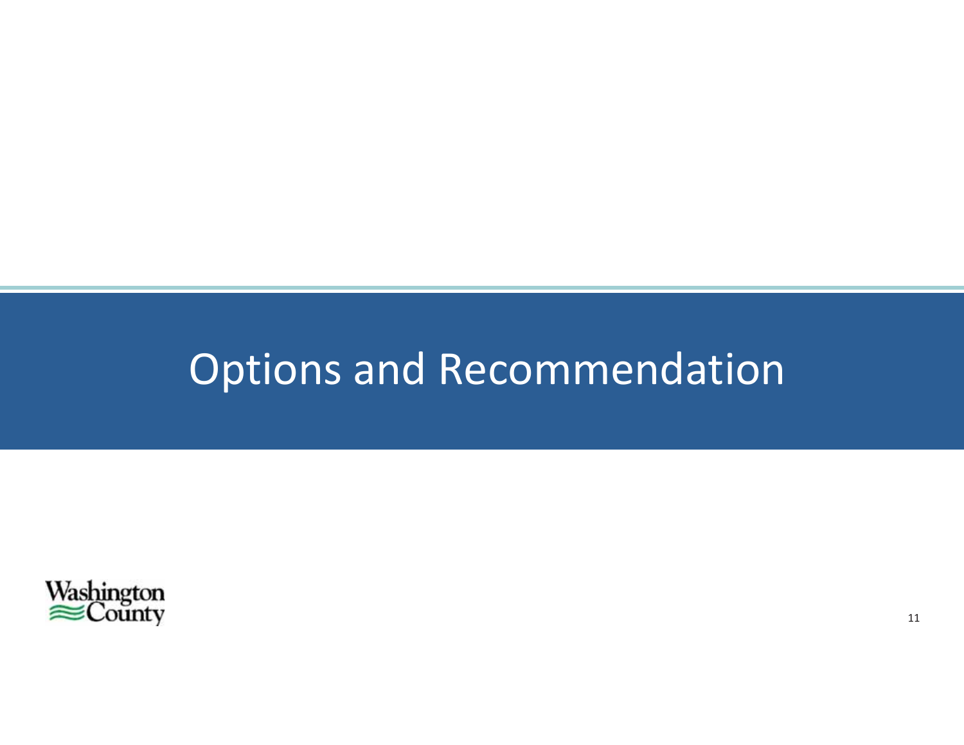# **Options and Recommendation**

![](_page_38_Picture_1.jpeg)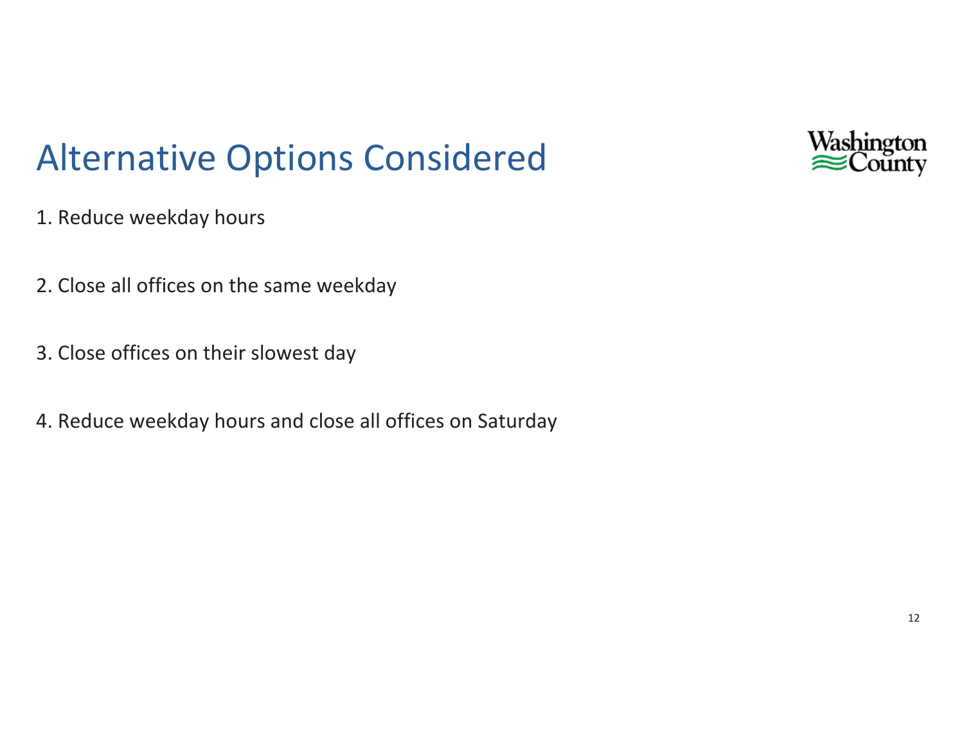![](_page_39_Picture_0.jpeg)

### **Alternative Options Considered**

- 1. Reduce weekday hours
- 2. Close all offices on the same weekday
- 3. Close offices on their slowest day
- 4. Reduce weekday hours and close all offices on Saturday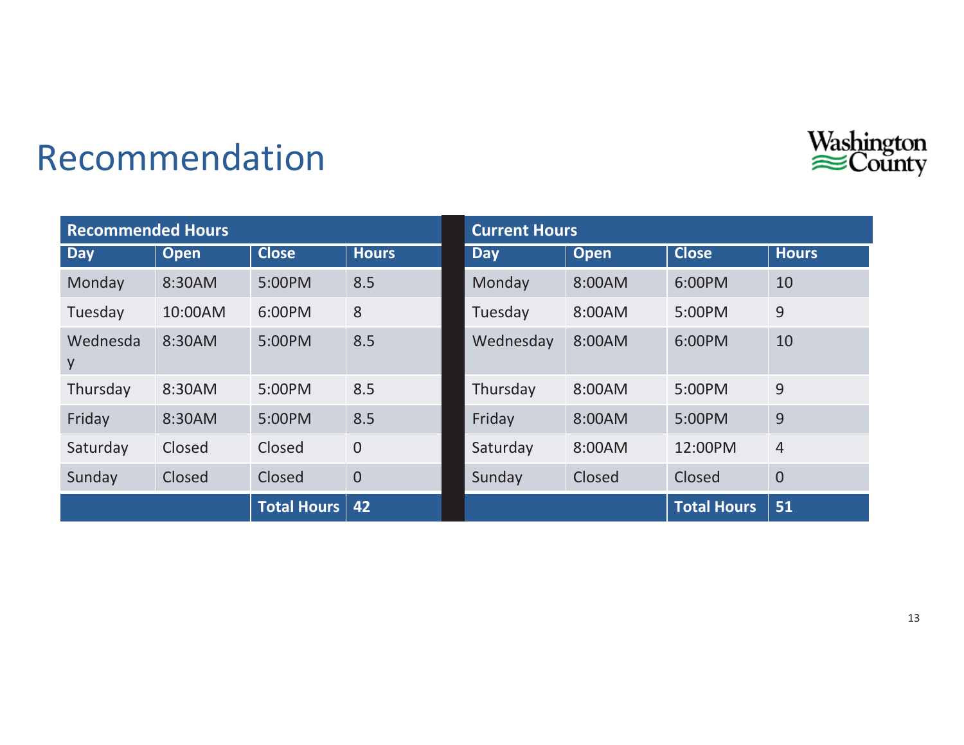![](_page_40_Picture_0.jpeg)

### Recommendation

| <b>Recommended Hours</b> |             |                    |                | <b>Current Hours</b> |             |                    |                |
|--------------------------|-------------|--------------------|----------------|----------------------|-------------|--------------------|----------------|
| <b>Day</b>               | <b>Open</b> | <b>Close</b>       | <b>Hours</b>   | <b>Day</b>           | <b>Open</b> | <b>Close</b>       | <b>Hours</b>   |
| Monday                   | 8:30AM      | 5:00PM             | 8.5            | Monday               | 8:00AM      | 6:00PM             | 10             |
| Tuesday                  | 10:00AM     | 6:00PM             | 8              | Tuesday              | 8:00AM      | 5:00PM             | 9              |
| Wednesda<br>y            | 8:30AM      | 5:00PM             | 8.5            | Wednesday            | 8:00AM      | 6:00PM             | 10             |
| Thursday                 | 8:30AM      | 5:00PM             | 8.5            | Thursday             | 8:00AM      | 5:00PM             | 9              |
| Friday                   | 8:30AM      | 5:00PM             | 8.5            | Friday               | 8:00AM      | 5:00PM             | 9              |
| Saturday                 | Closed      | Closed             | $\overline{0}$ | Saturday             | 8:00AM      | 12:00PM            | $\overline{4}$ |
| Sunday                   | Closed      | Closed             | $\overline{0}$ | Sunday               | Closed      | Closed             | $\overline{0}$ |
|                          |             | <b>Total Hours</b> | 42             |                      |             | <b>Total Hours</b> | 51             |